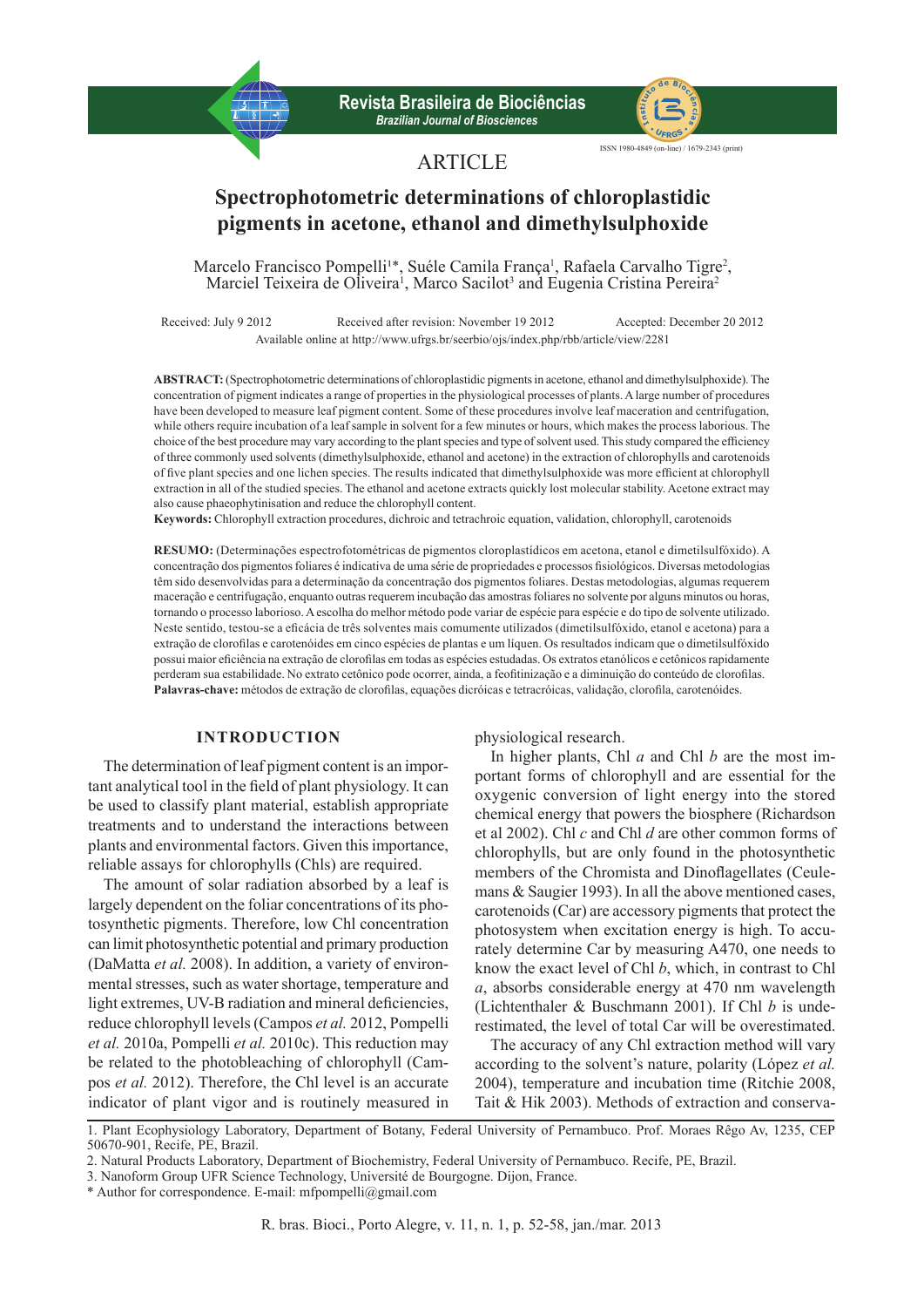**Revista Brasileira de Biociências b** *Brasileira de Biociências* **In**<br>*Brazilian Journal of Biosciences* 



ISSN 1980-4849 (on-line) / 1679-2343 (print)

# **ARTICLE**

# **Spectrophotometric determinations of chloroplastidic pigments in acetone, ethanol and dimethylsulphoxide**

Marcelo Francisco Pompelli<sup>1\*</sup>, Suéle Camila França<sup>1</sup>, Rafaela Carvalho Tigre<sup>2</sup>, Marciel Teixeira de Oliveira<sup>1</sup>, Marco Sacilot<sup>3</sup> and Eugenia Cristina Pereira<sup>2</sup>

Received: July 9 2012 Received after revision: November 19 2012 Accepted: December 20 2012 Available online at http://www.ufrgs.br/seerbio/ojs/index.php/rbb/article/view/2281

**ABSTRACT:** (Spectrophotometric determinations of chloroplastidic pigments in acetone, ethanol and dimethylsulphoxide). The concentration of pigment indicates a range of properties in the physiological processes of plants. A large number of procedures have been developed to measure leaf pigment content. Some of these procedures involve leaf maceration and centrifugation, while others require incubation of a leaf sample in solvent for a few minutes or hours, which makes the process laborious. The choice of the best procedure may vary according to the plant species and type of solvent used. This study compared the efficiency of three commonly used solvents (dimethylsulphoxide, ethanol and acetone) in the extraction of chlorophylls and carotenoids of five plant species and one lichen species. The results indicated that dimethylsulphoxide was more efficient at chlorophyll extraction in all of the studied species. The ethanol and acetone extracts quickly lost molecular stability. Acetone extract may also cause phaeophytinisation and reduce the chlorophyll content.

**Keywords:** Chlorophyll extraction procedures, dichroic and tetrachroic equation, validation, chlorophyll, carotenoids

**RESUMO:** (Determinações espectrofotométricas de pigmentos cloroplastídicos em acetona, etanol e dimetilsulfóxido). A concentração dos pigmentos foliares é indicativa de uma série de propriedades e processos fisiológicos. Diversas metodologias têm sido desenvolvidas para a determinação da concentração dos pigmentos foliares. Destas metodologias, algumas requerem maceração e centrifugação, enquanto outras requerem incubação das amostras foliares no solvente por alguns minutos ou horas, tornando o processo laborioso. A escolha do melhor método pode variar de espécie para espécie e do tipo de solvente utilizado. Neste sentido, testou-se a eficácia de três solventes mais comumente utilizados (dimetilsulfóxido, etanol e acetona) para a extração de clorofilas e carotenóides em cinco espécies de plantas e um líquen. Os resultados indicam que o dimetilsulfóxido possui maior eficiência na extração de clorofilas em todas as espécies estudadas. Os extratos etanólicos e cetônicos rapidamente perderam sua estabilidade. No extrato cetônico pode ocorrer, ainda, a feofitinização e a diminuição do conteúdo de clorofilas. **Palavras-chave:** métodos de extração de clorofilas, equações dicróicas e tetracróicas, validação, clorofila, carotenóides.

### **INTRODUCTION**

The determination of leaf pigment content is an important analytical tool in the field of plant physiology. It can be used to classify plant material, establish appropriate treatments and to understand the interactions between plants and environmental factors. Given this importance, reliable assays for chlorophylls (Chls) are required.

The amount of solar radiation absorbed by a leaf is largely dependent on the foliar concentrations of its photosynthetic pigments. Therefore, low Chl concentration can limit photosynthetic potential and primary production (DaMatta *et al.* 2008). In addition, a variety of environmental stresses, such as water shortage, temperature and light extremes, UV-B radiation and mineral deficiencies, reduce chlorophyll levels (Campos *et al.* 2012, Pompelli *et al.* 2010a, Pompelli *et al.* 2010c). This reduction may be related to the photobleaching of chlorophyll (Campos *et al.* 2012). Therefore, the Chl level is an accurate indicator of plant vigor and is routinely measured in

physiological research.

In higher plants, Chl *a* and Chl *b* are the most important forms of chlorophyll and are essential for the oxygenic conversion of light energy into the stored chemical energy that powers the biosphere (Richardson et al 2002). Chl *c* and Chl *d* are other common forms of chlorophylls, but are only found in the photosynthetic members of the Chromista and Dinoflagellates (Ceulemans & Saugier 1993). In all the above mentioned cases, carotenoids (Car) are accessory pigments that protect the photosystem when excitation energy is high. To accurately determine Car by measuring A470, one needs to know the exact level of Chl *b*, which, in contrast to Chl *a*, absorbs considerable energy at 470 nm wavelength (Lichtenthaler & Buschmann 2001). If Chl *b* is underestimated, the level of total Car will be overestimated.

The accuracy of any Chl extraction method will vary according to the solvent's nature, polarity (López *et al.* 2004), temperature and incubation time (Ritchie 2008, Tait & Hik 2003). Methods of extraction and conserva-

1. Plant Ecophysiology Laboratory, Department of Botany, Federal University of Pernambuco. Prof. Moraes Rêgo Av, 1235, CEP 50670-901, Recife, PE, Brazil.

<sup>2.</sup> Natural Products Laboratory, Department of Biochemistry, Federal University of Pernambuco. Recife, PE, Brazil.

<sup>3.</sup> Nanoform Group UFR Science Technology, Université de Bourgogne. Dijon, France.

<sup>\*</sup> Author for correspondence. E-mail: mfpompelli@gmail.com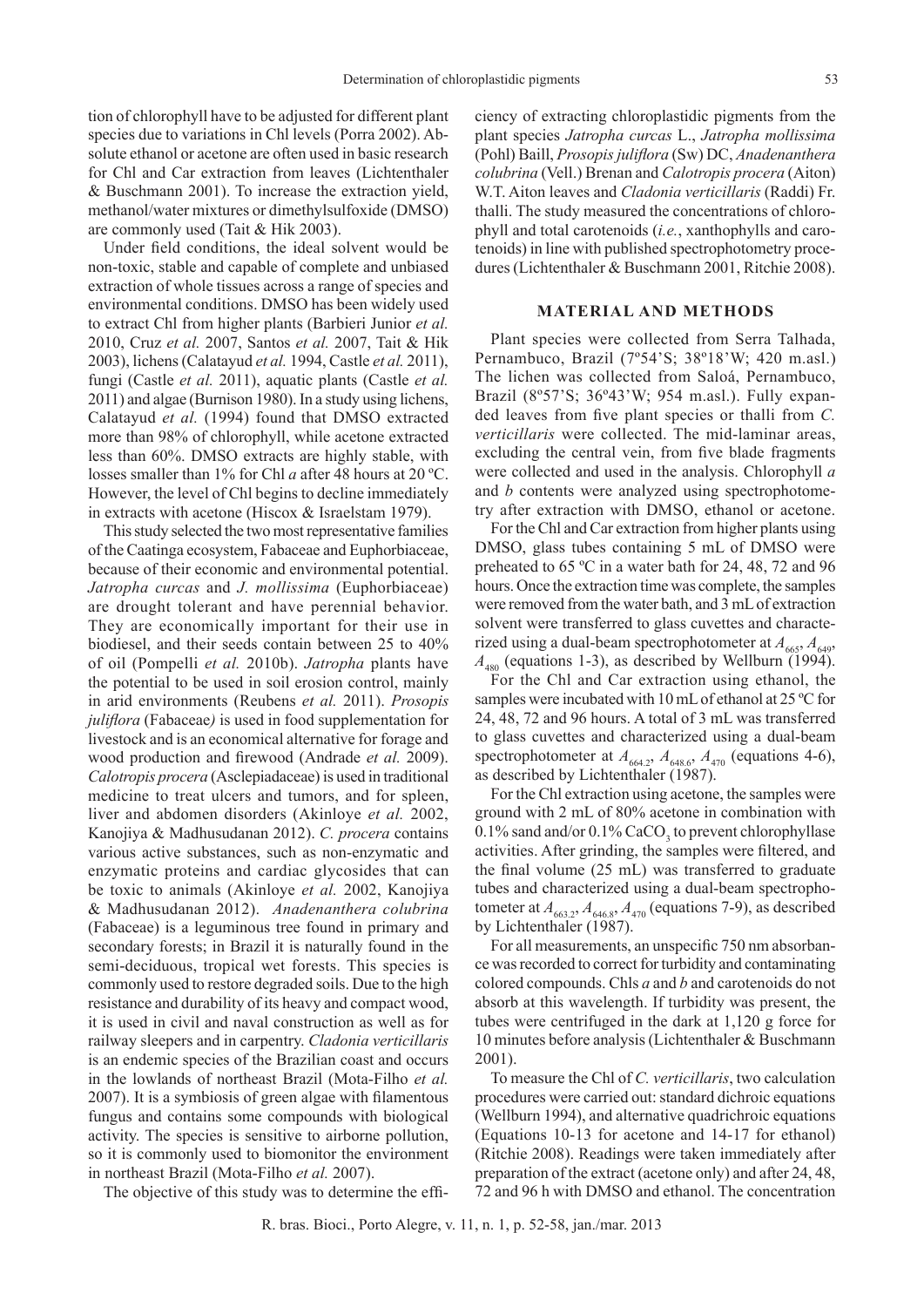tion of chlorophyll have to be adjusted for different plant species due to variations in Chl levels (Porra 2002). Absolute ethanol or acetone are often used in basic research for Chl and Car extraction from leaves (Lichtenthaler & Buschmann 2001). To increase the extraction yield, methanol/water mixtures or dimethylsulfoxide (DMSO) are commonly used (Tait & Hik 2003).

Under field conditions, the ideal solvent would be non-toxic, stable and capable of complete and unbiased extraction of whole tissues across a range of species and environmental conditions. DMSO has been widely used to extract Chl from higher plants (Barbieri Junior *et al.* 2010, Cruz *et al.* 2007, Santos *et al.* 2007, Tait & Hik 2003), lichens (Calatayud *et al.* 1994, Castle *et al.* 2011), fungi (Castle *et al.* 2011), aquatic plants (Castle *et al.* 2011) and algae (Burnison 1980). In a study using lichens, Calatayud *et al.* (1994) found that DMSO extracted more than 98% of chlorophyll, while acetone extracted less than 60%. DMSO extracts are highly stable, with losses smaller than 1% for Chl *a* after 48 hours at 20 ºC. However, the level of Chl begins to decline immediately in extracts with acetone (Hiscox & Israelstam 1979).

This study selected the two most representative families of the Caatinga ecosystem, Fabaceae and Euphorbiaceae, because of their economic and environmental potential. *Jatropha curcas* and *J. mollissima* (Euphorbiaceae) are drought tolerant and have perennial behavior. They are economically important for their use in biodiesel, and their seeds contain between 25 to 40% of oil (Pompelli *et al.* 2010b). *Jatropha* plants have the potential to be used in soil erosion control, mainly in arid environments (Reubens *et al.* 2011). *Prosopis juliflora* (Fabaceae*)* is used in food supplementation for livestock and is an economical alternative for forage and wood production and firewood (Andrade *et al.* 2009). *Calotropis procera* (Asclepiadaceae) is used in traditional medicine to treat ulcers and tumors, and for spleen, liver and abdomen disorders (Akinloye *et al.* 2002, Kanojiya & Madhusudanan 2012). *C. procera* contains various active substances, such as non-enzymatic and enzymatic proteins and cardiac glycosides that can be toxic to animals (Akinloye *et al.* 2002, Kanojiya & Madhusudanan 2012). *Anadenanthera colubrina* (Fabaceae) is a leguminous tree found in primary and secondary forests; in Brazil it is naturally found in the semi-deciduous, tropical wet forests. This species is commonly used to restore degraded soils. Due to the high resistance and durability of its heavy and compact wood, it is used in civil and naval construction as well as for railway sleepers and in carpentry. *Cladonia verticillaris* is an endemic species of the Brazilian coast and occurs in the lowlands of northeast Brazil (Mota-Filho *et al.* 2007). It is a symbiosis of green algae with filamentous fungus and contains some compounds with biological activity. The species is sensitive to airborne pollution, so it is commonly used to biomonitor the environment in northeast Brazil (Mota-Filho *et al.* 2007).

The objective of this study was to determine the effi-

ciency of extracting chloroplastidic pigments from the plant species *Jatropha curcas* L., *Jatropha mollissima* (Pohl) Baill, *Prosopis juliflora* (Sw) DC, *Anadenanthera colubrina* (Vell.) Brenan and *Calotropis procera* (Aiton) W.T. Aiton leaves and *Cladonia verticillaris* (Raddi) Fr. thalli. The study measured the concentrations of chlorophyll and total carotenoids (*i.e.*, xanthophylls and carotenoids) in line with published spectrophotometry procedures (Lichtenthaler & Buschmann 2001, Ritchie 2008).

# **MATERIAL AND METHODS**

Plant species were collected from Serra Talhada, Pernambuco, Brazil (7º54'S; 38º18'W; 420 m.asl.) The lichen was collected from Saloá, Pernambuco, Brazil (8º57'S; 36º43'W; 954 m.asl.). Fully expanded leaves from five plant species or thalli from *C. verticillaris* were collected. The mid-laminar areas, excluding the central vein, from five blade fragments were collected and used in the analysis. Chlorophyll *a*  and *b* contents were analyzed using spectrophotometry after extraction with DMSO, ethanol or acetone.

For the Chl and Car extraction from higher plants using DMSO, glass tubes containing 5 mL of DMSO were preheated to 65 ºC in a water bath for 24, 48, 72 and 96 hours. Once the extraction time was complete, the samples were removed from the water bath, and 3 mL of extraction solvent were transferred to glass cuvettes and characterized using a dual-beam spectrophotometer at  $A_{665}$ ,  $A_{649}$ ,  $A_{480}$  (equations 1-3), as described by Wellburn (1994).

For the Chl and Car extraction using ethanol, the samples were incubated with 10 mL of ethanol at 25 ºC for 24, 48, 72 and 96 hours. A total of 3 mL was transferred to glass cuvettes and characterized using a dual-beam spectrophotometer at  $A_{664.2}$ ,  $A_{648.6}$ ,  $A_{470}$  (equations 4-6), as described by Lichtenthaler (1987).

For the Chl extraction using acetone, the samples were ground with 2 mL of 80% acetone in combination with 0.1% sand and/or  $0.1\%$  CaCO<sub>3</sub> to prevent chlorophyllase activities. After grinding, the samples were filtered, and the final volume (25 mL) was transferred to graduate tubes and characterized using a dual-beam spectrophotometer at  $A_{663,2}$ ,  $A_{646,8}$ ,  $A_{470}$  (equations 7-9), as described by Lichtenthaler (1987).

For all measurements, an unspecific 750 nm absorbance was recorded to correct for turbidity and contaminating colored compounds. Chls *a* and *b* and carotenoids do not absorb at this wavelength. If turbidity was present, the tubes were centrifuged in the dark at 1,120 g force for 10 minutes before analysis (Lichtenthaler & Buschmann 2001).

To measure the Chl of *C. verticillaris*, two calculation procedures were carried out: standard dichroic equations (Wellburn 1994), and alternative quadrichroic equations (Equations 10-13 for acetone and 14-17 for ethanol) (Ritchie 2008). Readings were taken immediately after preparation of the extract (acetone only) and after 24, 48, 72 and 96 h with DMSO and ethanol. The concentration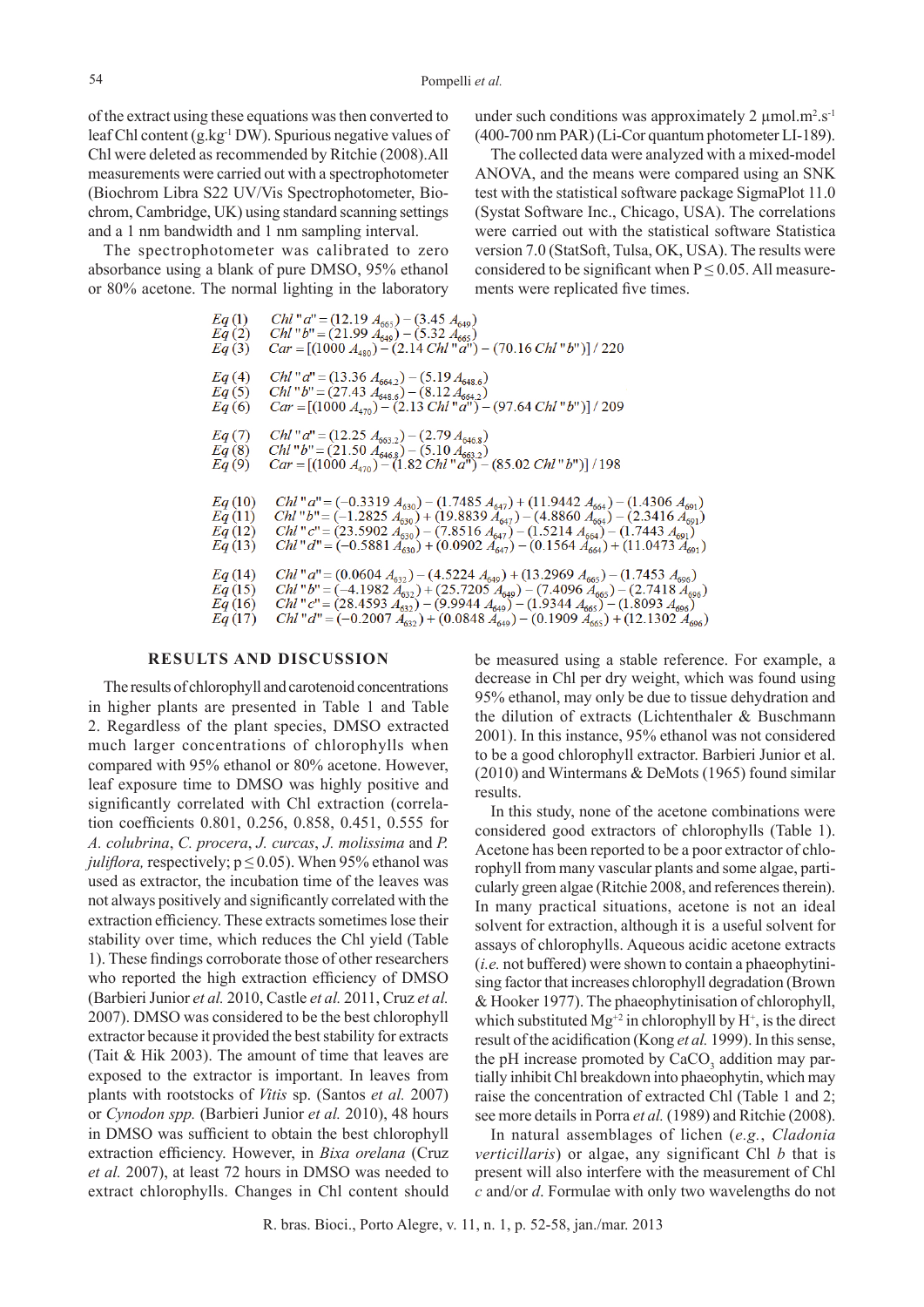of the extract using these equations was then converted to leaf Chl content (g.kg-1 DW). Spurious negative values of Chl were deleted as recommended by Ritchie (2008).All measurements were carried out with a spectrophotometer (Biochrom Libra S22 UV/Vis Spectrophotometer, Biochrom, Cambridge, UK) using standard scanning settings and a 1 nm bandwidth and 1 nm sampling interval.

The spectrophotometer was calibrated to zero absorbance using a blank of pure DMSO, 95% ethanol or 80% acetone. The normal lighting in the laboratory

under such conditions was approximately 2  $\mu$ mol.m<sup>2</sup>.s<sup>-1</sup> (400-700 nm PAR) (Li-Cor quantum photometer LI-189).

The collected data were analyzed with a mixed-model ANOVA, and the means were compared using an SNK test with the statistical software package SigmaPlot 11.0 (Systat Software Inc., Chicago, USA). The correlations were carried out with the statistical software Statistica version 7.0 (StatSoft, Tulsa, OK, USA). The results were considered to be significant when  $P \le 0.05$ . All measurements were replicated five times.

Chl "  $a'' = (12.19 A_{665}) - (3.45 A_{649})$ <br>
Chl "  $b'' = (21.99 A_{649}) - (5.32 A_{665})$ <br>
Car = [(1000  $A_{480}$ ) – (2.14 Chl "  $a''$ ) – (70.16 Chl "  $b''$ )] / 220  $Eq(1)$  $Eq(2)$  $Eq(3)$ Chl "  $a$ " = (13.36  $A_{664,2}$ ) – (5.19  $A_{648,6}$ )  $Eq(4)$  $Eq(5)$ <br>Eq (6) Chl "b" =  $(27.43 A_{648.6})$  -  $(8.12 A_{664.2})$ <br>Car =  $[(1000 A_{470}) - (2.13 Chl"a") - (97.64 Chl"b")] / 209$ Chl "  $a'' = (12.25 A_{663.2}) - (2.79 A_{646.8})$ <br>Chl "  $b'' = (21.50 A_{646.8}) - (5.10 A_{663.2})$ <br>Car = [(1000  $A_{470}$ ) – (1.82 Chl "  $a''$ ) – (85.02 Chl "  $b''$ )] / 198  $Eq(7)$  $E_q(8)$ <br> $E_q(9)$ Chl " a" = (-0.3319  $A_{630}$ ) – (1.7485  $A_{647}$ ) + (11.9442  $A_{664}$ ) – (1.4306  $A_{691}$ )<br>Chl " b" = (-1.2825  $A_{630}$ ) + (19.8839  $A_{647}$ ) – (4.8860  $A_{664}$ ) – (2.3416  $A_{691}$ )<br>Chl " c" = (23.5902  $A_{630}$ ) – (7.8516  $Eq(10)$  $Eq(11)$  $Eq(12)$  $Eq(13)$ Chl "  $a'' = (0.0604 A_{632}) - (4.5224 A_{649}) + (13.2969 A_{665}) - (1.7453 A_{696})$ <br>
Chl "  $b'' = (-4.1982 A_{632}) + (25.7205 A_{649}) - (7.4096 A_{665}) - (2.7418 A_{696})$ <br>
Chl "  $c'' = (28.4593 A_{632}) - (9.9944 A_{649}) - (1.9344 A_{665}) - (1.8093 A_{696})$ <br>
Ch<sub>1</sub> " d" (25  $Eq(14)$  $Eq(15)$  $Eq(16)$ *Chl* "d" =  $(-0.2007 A_{632}^2) + (0.0848 A_{649}^2) - (0.1909 A_{665}^2) + (12.1302 A_{696})$  $Eq(17)$ 

### **RESULTS AND DISCUSSION**

The results of chlorophyll and carotenoid concentrations in higher plants are presented in Table 1 and Table 2. Regardless of the plant species, DMSO extracted much larger concentrations of chlorophylls when compared with 95% ethanol or 80% acetone. However, leaf exposure time to DMSO was highly positive and significantly correlated with Chl extraction (correlation coefficients 0.801, 0.256, 0.858, 0.451, 0.555 for *A. colubrina*, *C. procera*, *J. curcas*, *J. molissima* and *P. juliflora,* respectively;  $p \le 0.05$ ). When 95% ethanol was used as extractor, the incubation time of the leaves was not always positively and significantly correlated with the extraction efficiency. These extracts sometimes lose their stability over time, which reduces the Chl yield (Table 1). These findings corroborate those of other researchers who reported the high extraction efficiency of DMSO (Barbieri Junior *et al.* 2010, Castle *et al.* 2011, Cruz *et al.* 2007). DMSO was considered to be the best chlorophyll extractor because it provided the best stability for extracts (Tait & Hik 2003). The amount of time that leaves are exposed to the extractor is important. In leaves from plants with rootstocks of *Vitis* sp. (Santos *et al.* 2007) or *Cynodon spp.* (Barbieri Junior *et al.* 2010), 48 hours in DMSO was sufficient to obtain the best chlorophyll extraction efficiency. However, in *Bixa orelana* (Cruz *et al.* 2007), at least 72 hours in DMSO was needed to extract chlorophylls. Changes in Chl content should be measured using a stable reference. For example, a decrease in Chl per dry weight, which was found using 95% ethanol, may only be due to tissue dehydration and the dilution of extracts (Lichtenthaler & Buschmann 2001). In this instance, 95% ethanol was not considered to be a good chlorophyll extractor. Barbieri Junior et al. (2010) and Wintermans & DeMots (1965) found similar results.

In this study, none of the acetone combinations were considered good extractors of chlorophylls (Table 1). Acetone has been reported to be a poor extractor of chlorophyll from many vascular plants and some algae, particularly green algae (Ritchie 2008, and references therein). In many practical situations, acetone is not an ideal solvent for extraction, although it is a useful solvent for assays of chlorophylls. Aqueous acidic acetone extracts (*i.e.* not buffered) were shown to contain a phaeophytinising factor that increases chlorophyll degradation (Brown & Hooker 1977). The phaeophytinisation of chlorophyll, which substituted  $Mg^{2}$  in chlorophyll by H<sup>+</sup>, is the direct result of the acidification (Kong *et al.* 1999). In this sense, the pH increase promoted by  $CaCO<sub>3</sub>$  addition may partially inhibit Chl breakdown into phaeophytin, which may raise the concentration of extracted Chl (Table 1 and 2; see more details in Porra *et al.* (1989) and Ritchie (2008).

In natural assemblages of lichen (*e.g.*, *Cladonia verticillaris*) or algae, any significant Chl *b* that is present will also interfere with the measurement of Chl *c* and/or *d*. Formulae with only two wavelengths do not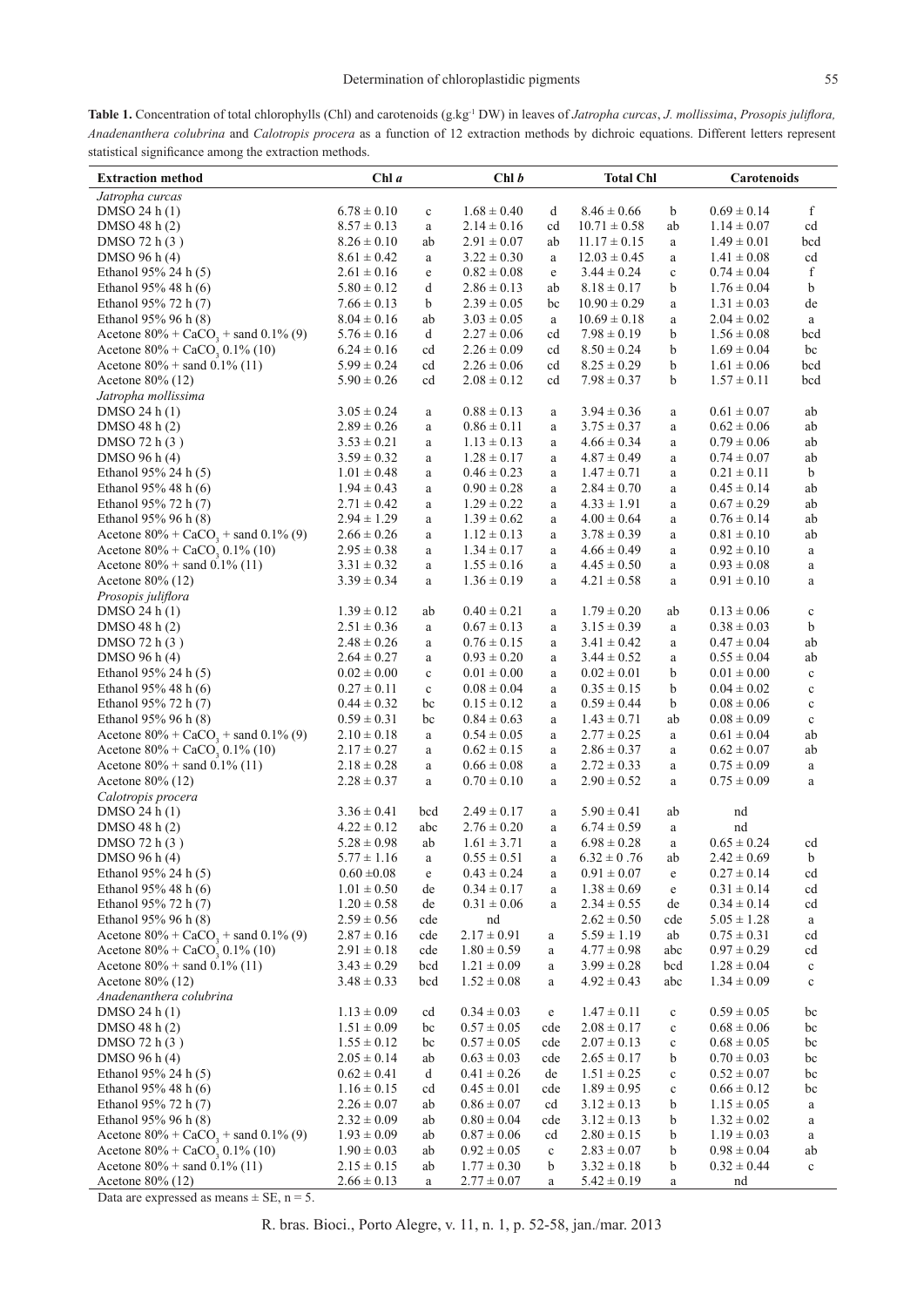Table 1. Concentration of total chlorophylls (Chl) and carotenoids (g.kg<sup>-1</sup> DW) in leaves of *Jatropha curcas*, *J. mollissima*, *Prosopis juliflora*, *Anadenanthera colubrina* and *Calotropis procera* as a function of 12 extraction methods by dichroic equations. Different letters represent statistical significance among the extraction methods.

| Jatropha curcas<br>f<br>$6.78 \pm 0.10$<br>$1.68 \pm 0.40$<br>$8.46 \pm 0.66$<br>$0.69 \pm 0.14$<br>DMSO 24 h(1)<br>d<br>b<br>$\mathbf c$<br>$8.57 \pm 0.13$<br>$2.14 \pm 0.16$<br>$10.71 \pm 0.58$<br>$1.14 \pm 0.07$<br>DMSO 48 h (2)<br>cd<br>ab<br>cd<br>$\rm{a}$<br>DMSO 72 h (3)<br>$8.26 \pm 0.10$<br>ab<br>$2.91 \pm 0.07$<br>ab<br>$11.17 \pm 0.15$<br>$1.49 \pm 0.01$<br>bcd<br>$\rm{a}$<br>DMSO 96 h (4)<br>$8.61 \pm 0.42$<br>$3.22 \pm 0.30$<br>$12.03 \pm 0.45$<br>$1.41 \pm 0.08$<br>cd<br>$\rm{a}$<br>$\rm{a}$<br>$\rm{a}$<br>Ethanol 95% 24 h (5)<br>$2.61\pm0.16$<br>$0.82 \pm 0.08$<br>f<br>$3.44 \pm 0.24$<br>$\mathbf c$<br>$0.74 \pm 0.04$<br>$\rm e$<br>e<br>b<br>$1.76 \pm 0.04$<br>b<br>Ethanol 95% 48 h $(6)$<br>$5.80 \pm 0.12$<br>d<br>$2.86 \pm 0.13$<br>ab<br>$8.18 \pm 0.17$<br>Ethanol 95% 72 h (7)<br>b<br>$2.39 \pm 0.05$<br>$10.90 \pm 0.29$<br>$1.31 \pm 0.03$<br>$7.66 \pm 0.13$<br>bc<br>de<br>$\rm{a}$<br>Ethanol 95% 96 h (8)<br>$8.04 \pm 0.16$<br>$3.03 \pm 0.05$<br>$10.69 \pm 0.18$<br>$2.04 \pm 0.02$<br>ab<br>$\rm{a}$<br>$\rm{a}$<br>$\rm{a}$<br>Acetone $80\% + CaCO_3 +$ sand 0.1% (9)<br>b<br>$5.76 \pm 0.16$<br>d<br>$2.27 \pm 0.06$<br>cd<br>$7.98 \pm 0.19$<br>$1.56 \pm 0.08$<br>bcd<br>Acetone $80\%$ + CaCO <sub>3</sub> , 0.1% (10)<br>$6.24 \pm 0.16$<br>cd<br>$2.26 \pm 0.09$<br>cd<br>$8.50 \pm 0.24$<br>b<br>$1.69 \pm 0.04$<br>bc<br>b<br>Acetone $80\%$ + sand 0.1% (11)<br>$5.99 \pm 0.24$<br>$2.26\pm0.06$<br>$8.25 \pm 0.29$<br>cd<br>cd<br>$1.61 \pm 0.06$<br>bcd<br>cd<br>$7.98 \pm 0.37$<br>b<br>Acetone 80% (12)<br>$5.90 \pm 0.26$<br>$2.08 \pm 0.12$<br>cd<br>$1.57 \pm 0.11$<br>bcd<br>Jatropha mollissima<br>$0.88 \pm 0.13$<br>DMSO 24 h(1)<br>$3.05 \pm 0.24$<br>$3.94 \pm 0.36$<br>$0.61 \pm 0.07$<br>ab<br>$\rm{a}$<br>a<br>$\rm{a}$<br>$2.89 \pm 0.26$<br>$0.62 \pm 0.06$<br>DMSO $48 h(2)$<br>$0.86 \pm 0.11$<br>$3.75 \pm 0.37$<br>ab<br>a<br>$\rm{a}$<br>a<br>DMSO 72 h (3)<br>$3.53 \pm 0.21$<br>$1.13 \pm 0.13$<br>$4.66 \pm 0.34$<br>$0.79 \pm 0.06$<br>ab<br>$\rm{a}$<br>$\rm{a}$<br>a<br>DMSO 96 h (4)<br>$1.28 \pm 0.17$<br>$3.59 \pm 0.32$<br>$4.87 \pm 0.49$<br>$0.74 \pm 0.07$<br>ab<br>$\rm{a}$<br>a<br>$\rm{a}$<br>Ethanol 95% 24 h (5)<br>$0.21 \pm 0.11$<br>b<br>$1.01 \pm 0.48$<br>$0.46 \pm 0.23$<br>$1.47 \pm 0.71$<br>$\rm{a}$<br>$\rm{a}$<br>$\rm{a}$<br>Ethanol 95% 48 h (6)<br>$2.84 \pm 0.70$<br>$0.45 \pm 0.14$<br>$1.94 \pm 0.43$<br>$\rm{a}$<br>$0.90 \pm 0.28$<br>ab<br>$\rm{a}$<br>$\rm{a}$<br>Ethanol 95% 72 h (7)<br>$1.29 \pm 0.22$<br>$4.33 \pm 1.91$<br>$0.67 \pm 0.29$<br>$2.71 \pm 0.42$<br>ab<br>$\rm{a}$<br>a<br>$\rm{a}$<br>Ethanol 95% 96 h (8)<br>$2.94 \pm 1.29$<br>$4.00 \pm 0.64$<br>$1.39 \pm 0.62$<br>$0.76 \pm 0.14$<br>ab<br>$\rm{a}$<br>$\rm{a}$<br>$\rm{a}$<br>Acetone $80\% + CaCO_3 +$ sand $0.1\%$ (9)<br>$2.66 \pm 0.26$<br>$1.12 \pm 0.13$<br>$3.78 \pm 0.39$<br>$0.81 \pm 0.10$<br>ab<br>$\rm{a}$<br>$\rm{a}$<br>$\rm{a}$<br>Acetone $80\% + \text{CaCO}_3^{\circ} 0.1\%$ (10)<br>$4.66 \pm 0.49$<br>$0.92 \pm 0.10$<br>$2.95 \pm 0.38$<br>$1.34 \pm 0.17$<br>$\rm{a}$<br>a<br>$\rm{a}$<br>a<br>Acetone $80\%$ + sand 0.1% (11)<br>$1.55 \pm 0.16$<br>$3.31 \pm 0.32$<br>$4.45 \pm 0.50$<br>$0.93 \pm 0.08$<br>a<br>$\rm{a}$<br>$\rm{a}$<br>a<br>$3.39 \pm 0.34$<br>$1.36 \pm 0.19$<br>$4.21 \pm 0.58$<br>$0.91 \pm 0.10$<br>Acetone $80\%$ (12)<br>a<br>a<br>$\rm{a}$<br>a<br>Prosopis juliflora<br>$0.40 \pm 0.21$<br>DMSO 24 h(1)<br>$1.39 \pm 0.12$<br>ab<br>$1.79 \pm 0.20$<br>$0.13 \pm 0.06$<br>a<br>ab<br>$\mathbf c$<br>$2.51 \pm 0.36$<br>$0.67 \pm 0.13$<br>$3.15 \pm 0.39$<br>$0.38 \pm 0.03$<br>DMSO 48 $h(2)$<br>b<br>a<br>$\rm{a}$<br>$\rm{a}$<br>DMSO 72 h (3)<br>$2.48 \pm 0.26$<br>$0.76 \pm 0.15$<br>$3.41 \pm 0.42$<br>$0.47 \pm 0.04$<br>ab<br>a<br>a<br>$\rm{a}$<br>DMSO 96 h (4)<br>$0.93 \pm 0.20$<br>$3.44 \pm 0.52$<br>$0.55 \pm 0.04$<br>ab<br>$2.64 \pm 0.27$<br>$\rm{a}$<br>a<br>$\rm{a}$<br>Ethanol 95% 24 h (5)<br>$0.02 \pm 0.00$<br>$0.02 \pm 0.01$<br>b<br>$0.01 \pm 0.00$<br>$0.01 \pm 0.00$<br>$\mathbf c$<br>$\rm{a}$<br>$\mathbf c$<br>b<br>Ethanol 95% 48 h $(6)$<br>$0.27 \pm 0.11$<br>$\mathbf c$<br>$0.08 \pm 0.04$<br>$0.35 \pm 0.15$<br>$0.04 \pm 0.02$<br>a<br>$\mathbf c$<br>Ethanol 95% 72 h (7)<br>$0.59 \pm 0.44$<br>b<br>$0.08 \pm 0.06$<br>$0.44 \pm 0.32$<br>bc<br>$0.15 \pm 0.12$<br>$\mathbf c$<br>$\rm{a}$<br>Ethanol 95% 96 h (8)<br>$0.59\pm0.31$<br>$0.08 \pm 0.09$<br>bc<br>$0.84 \pm 0.63$<br>$1.43 \pm 0.71$<br>ab<br>$\rm{a}$<br>$\mathbf c$<br>Acetone $80\%$ + CaCO <sub>3</sub> + sand 0.1% (9)<br>$2.10 \pm 0.18$<br>$0.54 \pm 0.05$<br>$2.77 \pm 0.25$<br>$0.61 \pm 0.04$<br>ab<br>a<br>$\rm{a}$<br>$\rm{a}$<br>Acetone $80\% + \text{CaCO}_3 0.1\% (10)$<br>$2.17 \pm 0.27$<br>$0.62 \pm 0.15$<br>$2.86 \pm 0.37$<br>$0.62 \pm 0.07$<br>ab<br>$\rm{a}$<br>$\rm{a}$<br>$\rm{a}$<br>Acetone $80\%$ + sand 0.1% (11)<br>$2.18 \pm 0.28$<br>$0.66 \pm 0.08$<br>$2.72 \pm 0.33$<br>$0.75 \pm 0.09$<br>a<br>$\rm{a}$<br>$\rm{a}$<br>a<br>Acetone 80% (12)<br>$2.28 \pm 0.37$<br>$0.70 \pm 0.10$<br>$2.90 \pm 0.52$<br>$0.75 \pm 0.09$<br>a<br>a<br>$\rm{a}$<br>a<br>Calotropis procera<br>DMSO 24 h (1)<br>$3.36 \pm 0.41$<br>bcd<br>$2.49 \pm 0.17$<br>$5.90 \pm 0.41$<br>ab<br>nd<br>a<br>$4.22 \pm 0.12$<br>DMSO 48 h (2)<br>abc<br>$2.76 \pm 0.20$<br>$6.74 \pm 0.59$<br>nd<br>a<br>$\rm{a}$<br>DMSO 72 h (3)<br>$5.28 \pm 0.98$<br>ab<br>$1.61 \pm 3.71$<br>$6.98 \pm 0.28$<br>$0.65 \pm 0.24$<br>a<br>$\rm{a}$<br>cd<br>$0.55 \pm 0.51$<br>DMSO 96 h (4)<br>$5.77 \pm 1.16$<br>$6.32 \pm 0.76$<br>$2.42 \pm 0.69$<br>ab<br>b<br>a<br>a<br>Ethanol 95% 24 h (5)<br>$0.60 \pm 0.08$<br>$0.43 \pm 0.24$<br>$0.91 \pm 0.07$<br>$0.27 \pm 0.14$<br>cd<br>e<br>e<br>a<br>Ethanol 95% 48 h (6)<br>$0.34 \pm 0.17$<br>$1.38\pm0.69$<br>$1.01 \pm 0.50$<br>de<br>$0.31 \pm 0.14$<br>cd<br>e<br>a<br>Ethanol 95% 72 h (7)<br>$1.20 \pm 0.58$<br>$0.31 \pm 0.06$<br>$2.34 \pm 0.55$<br>$0.34 \pm 0.14$<br>de<br>de<br>cd<br>a<br>Ethanol 95% 96 h (8)<br>$2.59 \pm 0.56$<br>cde<br>$2.62 \pm 0.50$<br>cde<br>$5.05 \pm 1.28$<br>nd<br>a<br>Acetone $80\%$ + CaCO <sub>3</sub> + sand 0.1% (9)<br>$2.87 \pm 0.16$<br>$2.17 \pm 0.91$<br>$5.59 \pm 1.19$<br>ab<br>$0.75 \pm 0.31$<br>cde<br>cd<br>a<br>Acetone $80\%$ + CaCO <sub>3</sub> 0.1% (10)<br>$2.91 \pm 0.18$<br>$1.80 \pm 0.59$<br>$4.77 \pm 0.98$<br>$0.97 \pm 0.29$<br>cde<br>abc<br>cd<br>a<br>Acetone $80\%$ + sand 0.1% (11)<br>$3.43 \pm 0.29$<br>bcd<br>$1.21 \pm 0.09$<br>$3.99 \pm 0.28$<br>bcd<br>$1.28 \pm 0.04$<br>$\rm{a}$<br>$\mathbf c$<br>Acetone 80% (12)<br>$3.48 \pm 0.33$<br>bcd<br>$1.52 \pm 0.08$<br>$4.92 \pm 0.43$<br>abc<br>$1.34 \pm 0.09$<br>a<br>$\mathbf c$<br>Anadenanthera colubrina<br>DMSO 24 h (1)<br>$1.13 \pm 0.09$<br>$0.34 \pm 0.03$<br>$1.47 \pm 0.11$<br>$0.59 \pm 0.05$<br>cd<br>bc<br>e<br>$\mathbf c$<br>DMSO 48 h (2)<br>$0.57 \pm 0.05$<br>$2.08 \pm 0.17$<br>$0.68 \pm 0.06$<br>$1.51 \pm 0.09$<br>bc<br>cde<br>$\mathbf c$<br>bc<br>DMSO 72 h (3)<br>$1.55 \pm 0.12$<br>$0.57 \pm 0.05$<br>cde<br>$2.07 \pm 0.13$<br>$0.68 \pm 0.05$<br>bc<br>$\mathbf c$<br>bc<br>DMSO 96 h (4)<br>$2.05 \pm 0.14$<br>ab<br>$0.63 \pm 0.03$<br>cde<br>$2.65 \pm 0.17$<br>b<br>$0.70 \pm 0.03$<br>bc<br>Ethanol 95% 24 h (5)<br>$0.62 \pm 0.41$<br>d<br>$0.41 \pm 0.26$<br>$1.51 \pm 0.25$<br>$0.52 \pm 0.07$<br>de<br>$\mathbf c$<br>bc<br>Ethanol 95% 48 h (6)<br>$1.16 \pm 0.15$<br>$0.45 \pm 0.01$<br>cde<br>$1.89 \pm 0.95$<br>$0.66 \pm 0.12$<br>cd<br>$\mathbf c$<br>bc<br>Ethanol 95% 72 h (7)<br>$2.26 \pm 0.07$<br>ab<br>$0.86 \pm 0.07$<br>cd<br>$3.12 \pm 0.13$<br>b<br>$1.15 \pm 0.05$<br>a<br>Ethanol 95% 96 h (8)<br>$2.32 \pm 0.09$<br>$0.80 \pm 0.04$<br>cde<br>$3.12 \pm 0.13$<br>b<br>$1.32 \pm 0.02$<br>ab<br>a<br>Acetone $80\%$ + CaCO <sub>3</sub> + sand 0.1% (9)<br>b<br>$1.93 \pm 0.09$<br>ab<br>$0.87 \pm 0.06$<br>cd<br>$2.80 \pm 0.15$<br>$1.19 \pm 0.03$<br>a<br>$2.83 \pm 0.07$<br>Acetone $80\%$ + CaCO <sub>3</sub> 0.1% (10)<br>$1.90 \pm 0.03$<br>ab<br>$0.92 \pm 0.05$<br>b<br>$0.98 \pm 0.04$<br>$\mathbf c$<br>ab<br>Acetone $80\%$ + sand 0.1% (11)<br>$2.15 \pm 0.15$<br>ab<br>$1.77 \pm 0.30$<br>b<br>$3.32 \pm 0.18$<br>b<br>$0.32 \pm 0.44$<br>$\mathbf c$ | <b>Extraction method</b> | Chl a           |   | Chl b           |   | <b>Total Chl</b> |          | Carotenoids |  |
|----------------------------------------------------------------------------------------------------------------------------------------------------------------------------------------------------------------------------------------------------------------------------------------------------------------------------------------------------------------------------------------------------------------------------------------------------------------------------------------------------------------------------------------------------------------------------------------------------------------------------------------------------------------------------------------------------------------------------------------------------------------------------------------------------------------------------------------------------------------------------------------------------------------------------------------------------------------------------------------------------------------------------------------------------------------------------------------------------------------------------------------------------------------------------------------------------------------------------------------------------------------------------------------------------------------------------------------------------------------------------------------------------------------------------------------------------------------------------------------------------------------------------------------------------------------------------------------------------------------------------------------------------------------------------------------------------------------------------------------------------------------------------------------------------------------------------------------------------------------------------------------------------------------------------------------------------------------------------------------------------------------------------------------------------------------------------------------------------------------------------------------------------------------------------------------------------------------------------------------------------------------------------------------------------------------------------------------------------------------------------------------------------------------------------------------------------------------------------------------------------------------------------------------------------------------------------------------------------------------------------------------------------------------------------------------------------------------------------------------------------------------------------------------------------------------------------------------------------------------------------------------------------------------------------------------------------------------------------------------------------------------------------------------------------------------------------------------------------------------------------------------------------------------------------------------------------------------------------------------------------------------------------------------------------------------------------------------------------------------------------------------------------------------------------------------------------------------------------------------------------------------------------------------------------------------------------------------------------------------------------------------------------------------------------------------------------------------------------------------------------------------------------------------------------------------------------------------------------------------------------------------------------------------------------------------------------------------------------------------------------------------------------------------------------------------------------------------------------------------------------------------------------------------------------------------------------------------------------------------------------------------------------------------------------------------------------------------------------------------------------------------------------------------------------------------------------------------------------------------------------------------------------------------------------------------------------------------------------------------------------------------------------------------------------------------------------------------------------------------------------------------------------------------------------------------------------------------------------------------------------------------------------------------------------------------------------------------------------------------------------------------------------------------------------------------------------------------------------------------------------------------------------------------------------------------------------------------------------------------------------------------------------------------------------------------------------------------------------------------------------------------------------------------------------------------------------------------------------------------------------------------------------------------------------------------------------------------------------------------------------------------------------------------------------------------------------------------------------------------------------------------------------------------------------------------------------------------------------------------------------------------------------------------------------------------------------------------------------------------------------------------------------------------------------------------------------------------------------------------------------------------------------------------------------------------------------------------------------------------------------------------------------------------------------------------------------------------------------------------------------------------------------------------------------------------------------------------------------------------------------------------------------------------------------------------------------------------------------------------------------------------------------------------------------------------------------------------------------------------------------------------------------------------------------------------------------------------------------------------------------------------------------------------------------------------------------------------------------------------------------------------------------------------------------------------------------------------------------------------------------------------------------------------------------------------------------------------------------------------------------------------------------------------------------------------------------------------------------------------------------------------------------------------------------------------------------------------------------------------------------------------------------------------------------------------------------------------------------------------------------------------------------------------------------------------------------------------------------------------------------------------------------------------------------------------------------------------------------------------------------------------------------------------------------------------------------------------------------------------------------------------------------------------------------------------------------------------------------------------------------------------------------------------------------------------------------------------------------------------------------------------------------------------------|--------------------------|-----------------|---|-----------------|---|------------------|----------|-------------|--|
|                                                                                                                                                                                                                                                                                                                                                                                                                                                                                                                                                                                                                                                                                                                                                                                                                                                                                                                                                                                                                                                                                                                                                                                                                                                                                                                                                                                                                                                                                                                                                                                                                                                                                                                                                                                                                                                                                                                                                                                                                                                                                                                                                                                                                                                                                                                                                                                                                                                                                                                                                                                                                                                                                                                                                                                                                                                                                                                                                                                                                                                                                                                                                                                                                                                                                                                                                                                                                                                                                                                                                                                                                                                                                                                                                                                                                                                                                                                                                                                                                                                                                                                                                                                                                                                                                                                                                                                                                                                                                                                                                                                                                                                                                                                                                                                                                                                                                                                                                                                                                                                                                                                                                                                                                                                                                                                                                                                                                                                                                                                                                                                                                                                                                                                                                                                                                                                                                                                                                                                                                                                                                                                                                                                                                                                                                                                                                                                                                                                                                                                                                                                                                                                                                                                                                                                                                                                                                                                                                                                                                                                                                                                                                                                                                                                                                                                                                                                                                                                                                                                                                                                                                                                                                                                                                                                                                                                                                                                                                                                                                                                                                                                                                                                                                                                                                              |                          |                 |   |                 |   |                  |          |             |  |
|                                                                                                                                                                                                                                                                                                                                                                                                                                                                                                                                                                                                                                                                                                                                                                                                                                                                                                                                                                                                                                                                                                                                                                                                                                                                                                                                                                                                                                                                                                                                                                                                                                                                                                                                                                                                                                                                                                                                                                                                                                                                                                                                                                                                                                                                                                                                                                                                                                                                                                                                                                                                                                                                                                                                                                                                                                                                                                                                                                                                                                                                                                                                                                                                                                                                                                                                                                                                                                                                                                                                                                                                                                                                                                                                                                                                                                                                                                                                                                                                                                                                                                                                                                                                                                                                                                                                                                                                                                                                                                                                                                                                                                                                                                                                                                                                                                                                                                                                                                                                                                                                                                                                                                                                                                                                                                                                                                                                                                                                                                                                                                                                                                                                                                                                                                                                                                                                                                                                                                                                                                                                                                                                                                                                                                                                                                                                                                                                                                                                                                                                                                                                                                                                                                                                                                                                                                                                                                                                                                                                                                                                                                                                                                                                                                                                                                                                                                                                                                                                                                                                                                                                                                                                                                                                                                                                                                                                                                                                                                                                                                                                                                                                                                                                                                                                                              |                          |                 |   |                 |   |                  |          |             |  |
|                                                                                                                                                                                                                                                                                                                                                                                                                                                                                                                                                                                                                                                                                                                                                                                                                                                                                                                                                                                                                                                                                                                                                                                                                                                                                                                                                                                                                                                                                                                                                                                                                                                                                                                                                                                                                                                                                                                                                                                                                                                                                                                                                                                                                                                                                                                                                                                                                                                                                                                                                                                                                                                                                                                                                                                                                                                                                                                                                                                                                                                                                                                                                                                                                                                                                                                                                                                                                                                                                                                                                                                                                                                                                                                                                                                                                                                                                                                                                                                                                                                                                                                                                                                                                                                                                                                                                                                                                                                                                                                                                                                                                                                                                                                                                                                                                                                                                                                                                                                                                                                                                                                                                                                                                                                                                                                                                                                                                                                                                                                                                                                                                                                                                                                                                                                                                                                                                                                                                                                                                                                                                                                                                                                                                                                                                                                                                                                                                                                                                                                                                                                                                                                                                                                                                                                                                                                                                                                                                                                                                                                                                                                                                                                                                                                                                                                                                                                                                                                                                                                                                                                                                                                                                                                                                                                                                                                                                                                                                                                                                                                                                                                                                                                                                                                                                              |                          |                 |   |                 |   |                  |          |             |  |
|                                                                                                                                                                                                                                                                                                                                                                                                                                                                                                                                                                                                                                                                                                                                                                                                                                                                                                                                                                                                                                                                                                                                                                                                                                                                                                                                                                                                                                                                                                                                                                                                                                                                                                                                                                                                                                                                                                                                                                                                                                                                                                                                                                                                                                                                                                                                                                                                                                                                                                                                                                                                                                                                                                                                                                                                                                                                                                                                                                                                                                                                                                                                                                                                                                                                                                                                                                                                                                                                                                                                                                                                                                                                                                                                                                                                                                                                                                                                                                                                                                                                                                                                                                                                                                                                                                                                                                                                                                                                                                                                                                                                                                                                                                                                                                                                                                                                                                                                                                                                                                                                                                                                                                                                                                                                                                                                                                                                                                                                                                                                                                                                                                                                                                                                                                                                                                                                                                                                                                                                                                                                                                                                                                                                                                                                                                                                                                                                                                                                                                                                                                                                                                                                                                                                                                                                                                                                                                                                                                                                                                                                                                                                                                                                                                                                                                                                                                                                                                                                                                                                                                                                                                                                                                                                                                                                                                                                                                                                                                                                                                                                                                                                                                                                                                                                                              |                          |                 |   |                 |   |                  |          |             |  |
|                                                                                                                                                                                                                                                                                                                                                                                                                                                                                                                                                                                                                                                                                                                                                                                                                                                                                                                                                                                                                                                                                                                                                                                                                                                                                                                                                                                                                                                                                                                                                                                                                                                                                                                                                                                                                                                                                                                                                                                                                                                                                                                                                                                                                                                                                                                                                                                                                                                                                                                                                                                                                                                                                                                                                                                                                                                                                                                                                                                                                                                                                                                                                                                                                                                                                                                                                                                                                                                                                                                                                                                                                                                                                                                                                                                                                                                                                                                                                                                                                                                                                                                                                                                                                                                                                                                                                                                                                                                                                                                                                                                                                                                                                                                                                                                                                                                                                                                                                                                                                                                                                                                                                                                                                                                                                                                                                                                                                                                                                                                                                                                                                                                                                                                                                                                                                                                                                                                                                                                                                                                                                                                                                                                                                                                                                                                                                                                                                                                                                                                                                                                                                                                                                                                                                                                                                                                                                                                                                                                                                                                                                                                                                                                                                                                                                                                                                                                                                                                                                                                                                                                                                                                                                                                                                                                                                                                                                                                                                                                                                                                                                                                                                                                                                                                                                              |                          |                 |   |                 |   |                  |          |             |  |
|                                                                                                                                                                                                                                                                                                                                                                                                                                                                                                                                                                                                                                                                                                                                                                                                                                                                                                                                                                                                                                                                                                                                                                                                                                                                                                                                                                                                                                                                                                                                                                                                                                                                                                                                                                                                                                                                                                                                                                                                                                                                                                                                                                                                                                                                                                                                                                                                                                                                                                                                                                                                                                                                                                                                                                                                                                                                                                                                                                                                                                                                                                                                                                                                                                                                                                                                                                                                                                                                                                                                                                                                                                                                                                                                                                                                                                                                                                                                                                                                                                                                                                                                                                                                                                                                                                                                                                                                                                                                                                                                                                                                                                                                                                                                                                                                                                                                                                                                                                                                                                                                                                                                                                                                                                                                                                                                                                                                                                                                                                                                                                                                                                                                                                                                                                                                                                                                                                                                                                                                                                                                                                                                                                                                                                                                                                                                                                                                                                                                                                                                                                                                                                                                                                                                                                                                                                                                                                                                                                                                                                                                                                                                                                                                                                                                                                                                                                                                                                                                                                                                                                                                                                                                                                                                                                                                                                                                                                                                                                                                                                                                                                                                                                                                                                                                                              |                          |                 |   |                 |   |                  |          |             |  |
|                                                                                                                                                                                                                                                                                                                                                                                                                                                                                                                                                                                                                                                                                                                                                                                                                                                                                                                                                                                                                                                                                                                                                                                                                                                                                                                                                                                                                                                                                                                                                                                                                                                                                                                                                                                                                                                                                                                                                                                                                                                                                                                                                                                                                                                                                                                                                                                                                                                                                                                                                                                                                                                                                                                                                                                                                                                                                                                                                                                                                                                                                                                                                                                                                                                                                                                                                                                                                                                                                                                                                                                                                                                                                                                                                                                                                                                                                                                                                                                                                                                                                                                                                                                                                                                                                                                                                                                                                                                                                                                                                                                                                                                                                                                                                                                                                                                                                                                                                                                                                                                                                                                                                                                                                                                                                                                                                                                                                                                                                                                                                                                                                                                                                                                                                                                                                                                                                                                                                                                                                                                                                                                                                                                                                                                                                                                                                                                                                                                                                                                                                                                                                                                                                                                                                                                                                                                                                                                                                                                                                                                                                                                                                                                                                                                                                                                                                                                                                                                                                                                                                                                                                                                                                                                                                                                                                                                                                                                                                                                                                                                                                                                                                                                                                                                                                              |                          |                 |   |                 |   |                  |          |             |  |
|                                                                                                                                                                                                                                                                                                                                                                                                                                                                                                                                                                                                                                                                                                                                                                                                                                                                                                                                                                                                                                                                                                                                                                                                                                                                                                                                                                                                                                                                                                                                                                                                                                                                                                                                                                                                                                                                                                                                                                                                                                                                                                                                                                                                                                                                                                                                                                                                                                                                                                                                                                                                                                                                                                                                                                                                                                                                                                                                                                                                                                                                                                                                                                                                                                                                                                                                                                                                                                                                                                                                                                                                                                                                                                                                                                                                                                                                                                                                                                                                                                                                                                                                                                                                                                                                                                                                                                                                                                                                                                                                                                                                                                                                                                                                                                                                                                                                                                                                                                                                                                                                                                                                                                                                                                                                                                                                                                                                                                                                                                                                                                                                                                                                                                                                                                                                                                                                                                                                                                                                                                                                                                                                                                                                                                                                                                                                                                                                                                                                                                                                                                                                                                                                                                                                                                                                                                                                                                                                                                                                                                                                                                                                                                                                                                                                                                                                                                                                                                                                                                                                                                                                                                                                                                                                                                                                                                                                                                                                                                                                                                                                                                                                                                                                                                                                                              |                          |                 |   |                 |   |                  |          |             |  |
|                                                                                                                                                                                                                                                                                                                                                                                                                                                                                                                                                                                                                                                                                                                                                                                                                                                                                                                                                                                                                                                                                                                                                                                                                                                                                                                                                                                                                                                                                                                                                                                                                                                                                                                                                                                                                                                                                                                                                                                                                                                                                                                                                                                                                                                                                                                                                                                                                                                                                                                                                                                                                                                                                                                                                                                                                                                                                                                                                                                                                                                                                                                                                                                                                                                                                                                                                                                                                                                                                                                                                                                                                                                                                                                                                                                                                                                                                                                                                                                                                                                                                                                                                                                                                                                                                                                                                                                                                                                                                                                                                                                                                                                                                                                                                                                                                                                                                                                                                                                                                                                                                                                                                                                                                                                                                                                                                                                                                                                                                                                                                                                                                                                                                                                                                                                                                                                                                                                                                                                                                                                                                                                                                                                                                                                                                                                                                                                                                                                                                                                                                                                                                                                                                                                                                                                                                                                                                                                                                                                                                                                                                                                                                                                                                                                                                                                                                                                                                                                                                                                                                                                                                                                                                                                                                                                                                                                                                                                                                                                                                                                                                                                                                                                                                                                                                              |                          |                 |   |                 |   |                  |          |             |  |
|                                                                                                                                                                                                                                                                                                                                                                                                                                                                                                                                                                                                                                                                                                                                                                                                                                                                                                                                                                                                                                                                                                                                                                                                                                                                                                                                                                                                                                                                                                                                                                                                                                                                                                                                                                                                                                                                                                                                                                                                                                                                                                                                                                                                                                                                                                                                                                                                                                                                                                                                                                                                                                                                                                                                                                                                                                                                                                                                                                                                                                                                                                                                                                                                                                                                                                                                                                                                                                                                                                                                                                                                                                                                                                                                                                                                                                                                                                                                                                                                                                                                                                                                                                                                                                                                                                                                                                                                                                                                                                                                                                                                                                                                                                                                                                                                                                                                                                                                                                                                                                                                                                                                                                                                                                                                                                                                                                                                                                                                                                                                                                                                                                                                                                                                                                                                                                                                                                                                                                                                                                                                                                                                                                                                                                                                                                                                                                                                                                                                                                                                                                                                                                                                                                                                                                                                                                                                                                                                                                                                                                                                                                                                                                                                                                                                                                                                                                                                                                                                                                                                                                                                                                                                                                                                                                                                                                                                                                                                                                                                                                                                                                                                                                                                                                                                                              |                          |                 |   |                 |   |                  |          |             |  |
|                                                                                                                                                                                                                                                                                                                                                                                                                                                                                                                                                                                                                                                                                                                                                                                                                                                                                                                                                                                                                                                                                                                                                                                                                                                                                                                                                                                                                                                                                                                                                                                                                                                                                                                                                                                                                                                                                                                                                                                                                                                                                                                                                                                                                                                                                                                                                                                                                                                                                                                                                                                                                                                                                                                                                                                                                                                                                                                                                                                                                                                                                                                                                                                                                                                                                                                                                                                                                                                                                                                                                                                                                                                                                                                                                                                                                                                                                                                                                                                                                                                                                                                                                                                                                                                                                                                                                                                                                                                                                                                                                                                                                                                                                                                                                                                                                                                                                                                                                                                                                                                                                                                                                                                                                                                                                                                                                                                                                                                                                                                                                                                                                                                                                                                                                                                                                                                                                                                                                                                                                                                                                                                                                                                                                                                                                                                                                                                                                                                                                                                                                                                                                                                                                                                                                                                                                                                                                                                                                                                                                                                                                                                                                                                                                                                                                                                                                                                                                                                                                                                                                                                                                                                                                                                                                                                                                                                                                                                                                                                                                                                                                                                                                                                                                                                                                              |                          |                 |   |                 |   |                  |          |             |  |
|                                                                                                                                                                                                                                                                                                                                                                                                                                                                                                                                                                                                                                                                                                                                                                                                                                                                                                                                                                                                                                                                                                                                                                                                                                                                                                                                                                                                                                                                                                                                                                                                                                                                                                                                                                                                                                                                                                                                                                                                                                                                                                                                                                                                                                                                                                                                                                                                                                                                                                                                                                                                                                                                                                                                                                                                                                                                                                                                                                                                                                                                                                                                                                                                                                                                                                                                                                                                                                                                                                                                                                                                                                                                                                                                                                                                                                                                                                                                                                                                                                                                                                                                                                                                                                                                                                                                                                                                                                                                                                                                                                                                                                                                                                                                                                                                                                                                                                                                                                                                                                                                                                                                                                                                                                                                                                                                                                                                                                                                                                                                                                                                                                                                                                                                                                                                                                                                                                                                                                                                                                                                                                                                                                                                                                                                                                                                                                                                                                                                                                                                                                                                                                                                                                                                                                                                                                                                                                                                                                                                                                                                                                                                                                                                                                                                                                                                                                                                                                                                                                                                                                                                                                                                                                                                                                                                                                                                                                                                                                                                                                                                                                                                                                                                                                                                                              |                          |                 |   |                 |   |                  |          |             |  |
|                                                                                                                                                                                                                                                                                                                                                                                                                                                                                                                                                                                                                                                                                                                                                                                                                                                                                                                                                                                                                                                                                                                                                                                                                                                                                                                                                                                                                                                                                                                                                                                                                                                                                                                                                                                                                                                                                                                                                                                                                                                                                                                                                                                                                                                                                                                                                                                                                                                                                                                                                                                                                                                                                                                                                                                                                                                                                                                                                                                                                                                                                                                                                                                                                                                                                                                                                                                                                                                                                                                                                                                                                                                                                                                                                                                                                                                                                                                                                                                                                                                                                                                                                                                                                                                                                                                                                                                                                                                                                                                                                                                                                                                                                                                                                                                                                                                                                                                                                                                                                                                                                                                                                                                                                                                                                                                                                                                                                                                                                                                                                                                                                                                                                                                                                                                                                                                                                                                                                                                                                                                                                                                                                                                                                                                                                                                                                                                                                                                                                                                                                                                                                                                                                                                                                                                                                                                                                                                                                                                                                                                                                                                                                                                                                                                                                                                                                                                                                                                                                                                                                                                                                                                                                                                                                                                                                                                                                                                                                                                                                                                                                                                                                                                                                                                                                              |                          |                 |   |                 |   |                  |          |             |  |
|                                                                                                                                                                                                                                                                                                                                                                                                                                                                                                                                                                                                                                                                                                                                                                                                                                                                                                                                                                                                                                                                                                                                                                                                                                                                                                                                                                                                                                                                                                                                                                                                                                                                                                                                                                                                                                                                                                                                                                                                                                                                                                                                                                                                                                                                                                                                                                                                                                                                                                                                                                                                                                                                                                                                                                                                                                                                                                                                                                                                                                                                                                                                                                                                                                                                                                                                                                                                                                                                                                                                                                                                                                                                                                                                                                                                                                                                                                                                                                                                                                                                                                                                                                                                                                                                                                                                                                                                                                                                                                                                                                                                                                                                                                                                                                                                                                                                                                                                                                                                                                                                                                                                                                                                                                                                                                                                                                                                                                                                                                                                                                                                                                                                                                                                                                                                                                                                                                                                                                                                                                                                                                                                                                                                                                                                                                                                                                                                                                                                                                                                                                                                                                                                                                                                                                                                                                                                                                                                                                                                                                                                                                                                                                                                                                                                                                                                                                                                                                                                                                                                                                                                                                                                                                                                                                                                                                                                                                                                                                                                                                                                                                                                                                                                                                                                                              |                          |                 |   |                 |   |                  |          |             |  |
|                                                                                                                                                                                                                                                                                                                                                                                                                                                                                                                                                                                                                                                                                                                                                                                                                                                                                                                                                                                                                                                                                                                                                                                                                                                                                                                                                                                                                                                                                                                                                                                                                                                                                                                                                                                                                                                                                                                                                                                                                                                                                                                                                                                                                                                                                                                                                                                                                                                                                                                                                                                                                                                                                                                                                                                                                                                                                                                                                                                                                                                                                                                                                                                                                                                                                                                                                                                                                                                                                                                                                                                                                                                                                                                                                                                                                                                                                                                                                                                                                                                                                                                                                                                                                                                                                                                                                                                                                                                                                                                                                                                                                                                                                                                                                                                                                                                                                                                                                                                                                                                                                                                                                                                                                                                                                                                                                                                                                                                                                                                                                                                                                                                                                                                                                                                                                                                                                                                                                                                                                                                                                                                                                                                                                                                                                                                                                                                                                                                                                                                                                                                                                                                                                                                                                                                                                                                                                                                                                                                                                                                                                                                                                                                                                                                                                                                                                                                                                                                                                                                                                                                                                                                                                                                                                                                                                                                                                                                                                                                                                                                                                                                                                                                                                                                                                              |                          |                 |   |                 |   |                  |          |             |  |
|                                                                                                                                                                                                                                                                                                                                                                                                                                                                                                                                                                                                                                                                                                                                                                                                                                                                                                                                                                                                                                                                                                                                                                                                                                                                                                                                                                                                                                                                                                                                                                                                                                                                                                                                                                                                                                                                                                                                                                                                                                                                                                                                                                                                                                                                                                                                                                                                                                                                                                                                                                                                                                                                                                                                                                                                                                                                                                                                                                                                                                                                                                                                                                                                                                                                                                                                                                                                                                                                                                                                                                                                                                                                                                                                                                                                                                                                                                                                                                                                                                                                                                                                                                                                                                                                                                                                                                                                                                                                                                                                                                                                                                                                                                                                                                                                                                                                                                                                                                                                                                                                                                                                                                                                                                                                                                                                                                                                                                                                                                                                                                                                                                                                                                                                                                                                                                                                                                                                                                                                                                                                                                                                                                                                                                                                                                                                                                                                                                                                                                                                                                                                                                                                                                                                                                                                                                                                                                                                                                                                                                                                                                                                                                                                                                                                                                                                                                                                                                                                                                                                                                                                                                                                                                                                                                                                                                                                                                                                                                                                                                                                                                                                                                                                                                                                                              |                          |                 |   |                 |   |                  |          |             |  |
|                                                                                                                                                                                                                                                                                                                                                                                                                                                                                                                                                                                                                                                                                                                                                                                                                                                                                                                                                                                                                                                                                                                                                                                                                                                                                                                                                                                                                                                                                                                                                                                                                                                                                                                                                                                                                                                                                                                                                                                                                                                                                                                                                                                                                                                                                                                                                                                                                                                                                                                                                                                                                                                                                                                                                                                                                                                                                                                                                                                                                                                                                                                                                                                                                                                                                                                                                                                                                                                                                                                                                                                                                                                                                                                                                                                                                                                                                                                                                                                                                                                                                                                                                                                                                                                                                                                                                                                                                                                                                                                                                                                                                                                                                                                                                                                                                                                                                                                                                                                                                                                                                                                                                                                                                                                                                                                                                                                                                                                                                                                                                                                                                                                                                                                                                                                                                                                                                                                                                                                                                                                                                                                                                                                                                                                                                                                                                                                                                                                                                                                                                                                                                                                                                                                                                                                                                                                                                                                                                                                                                                                                                                                                                                                                                                                                                                                                                                                                                                                                                                                                                                                                                                                                                                                                                                                                                                                                                                                                                                                                                                                                                                                                                                                                                                                                                              |                          |                 |   |                 |   |                  |          |             |  |
|                                                                                                                                                                                                                                                                                                                                                                                                                                                                                                                                                                                                                                                                                                                                                                                                                                                                                                                                                                                                                                                                                                                                                                                                                                                                                                                                                                                                                                                                                                                                                                                                                                                                                                                                                                                                                                                                                                                                                                                                                                                                                                                                                                                                                                                                                                                                                                                                                                                                                                                                                                                                                                                                                                                                                                                                                                                                                                                                                                                                                                                                                                                                                                                                                                                                                                                                                                                                                                                                                                                                                                                                                                                                                                                                                                                                                                                                                                                                                                                                                                                                                                                                                                                                                                                                                                                                                                                                                                                                                                                                                                                                                                                                                                                                                                                                                                                                                                                                                                                                                                                                                                                                                                                                                                                                                                                                                                                                                                                                                                                                                                                                                                                                                                                                                                                                                                                                                                                                                                                                                                                                                                                                                                                                                                                                                                                                                                                                                                                                                                                                                                                                                                                                                                                                                                                                                                                                                                                                                                                                                                                                                                                                                                                                                                                                                                                                                                                                                                                                                                                                                                                                                                                                                                                                                                                                                                                                                                                                                                                                                                                                                                                                                                                                                                                                                              |                          |                 |   |                 |   |                  |          |             |  |
|                                                                                                                                                                                                                                                                                                                                                                                                                                                                                                                                                                                                                                                                                                                                                                                                                                                                                                                                                                                                                                                                                                                                                                                                                                                                                                                                                                                                                                                                                                                                                                                                                                                                                                                                                                                                                                                                                                                                                                                                                                                                                                                                                                                                                                                                                                                                                                                                                                                                                                                                                                                                                                                                                                                                                                                                                                                                                                                                                                                                                                                                                                                                                                                                                                                                                                                                                                                                                                                                                                                                                                                                                                                                                                                                                                                                                                                                                                                                                                                                                                                                                                                                                                                                                                                                                                                                                                                                                                                                                                                                                                                                                                                                                                                                                                                                                                                                                                                                                                                                                                                                                                                                                                                                                                                                                                                                                                                                                                                                                                                                                                                                                                                                                                                                                                                                                                                                                                                                                                                                                                                                                                                                                                                                                                                                                                                                                                                                                                                                                                                                                                                                                                                                                                                                                                                                                                                                                                                                                                                                                                                                                                                                                                                                                                                                                                                                                                                                                                                                                                                                                                                                                                                                                                                                                                                                                                                                                                                                                                                                                                                                                                                                                                                                                                                                                              |                          |                 |   |                 |   |                  |          |             |  |
|                                                                                                                                                                                                                                                                                                                                                                                                                                                                                                                                                                                                                                                                                                                                                                                                                                                                                                                                                                                                                                                                                                                                                                                                                                                                                                                                                                                                                                                                                                                                                                                                                                                                                                                                                                                                                                                                                                                                                                                                                                                                                                                                                                                                                                                                                                                                                                                                                                                                                                                                                                                                                                                                                                                                                                                                                                                                                                                                                                                                                                                                                                                                                                                                                                                                                                                                                                                                                                                                                                                                                                                                                                                                                                                                                                                                                                                                                                                                                                                                                                                                                                                                                                                                                                                                                                                                                                                                                                                                                                                                                                                                                                                                                                                                                                                                                                                                                                                                                                                                                                                                                                                                                                                                                                                                                                                                                                                                                                                                                                                                                                                                                                                                                                                                                                                                                                                                                                                                                                                                                                                                                                                                                                                                                                                                                                                                                                                                                                                                                                                                                                                                                                                                                                                                                                                                                                                                                                                                                                                                                                                                                                                                                                                                                                                                                                                                                                                                                                                                                                                                                                                                                                                                                                                                                                                                                                                                                                                                                                                                                                                                                                                                                                                                                                                                                              |                          |                 |   |                 |   |                  |          |             |  |
|                                                                                                                                                                                                                                                                                                                                                                                                                                                                                                                                                                                                                                                                                                                                                                                                                                                                                                                                                                                                                                                                                                                                                                                                                                                                                                                                                                                                                                                                                                                                                                                                                                                                                                                                                                                                                                                                                                                                                                                                                                                                                                                                                                                                                                                                                                                                                                                                                                                                                                                                                                                                                                                                                                                                                                                                                                                                                                                                                                                                                                                                                                                                                                                                                                                                                                                                                                                                                                                                                                                                                                                                                                                                                                                                                                                                                                                                                                                                                                                                                                                                                                                                                                                                                                                                                                                                                                                                                                                                                                                                                                                                                                                                                                                                                                                                                                                                                                                                                                                                                                                                                                                                                                                                                                                                                                                                                                                                                                                                                                                                                                                                                                                                                                                                                                                                                                                                                                                                                                                                                                                                                                                                                                                                                                                                                                                                                                                                                                                                                                                                                                                                                                                                                                                                                                                                                                                                                                                                                                                                                                                                                                                                                                                                                                                                                                                                                                                                                                                                                                                                                                                                                                                                                                                                                                                                                                                                                                                                                                                                                                                                                                                                                                                                                                                                                              |                          |                 |   |                 |   |                  |          |             |  |
|                                                                                                                                                                                                                                                                                                                                                                                                                                                                                                                                                                                                                                                                                                                                                                                                                                                                                                                                                                                                                                                                                                                                                                                                                                                                                                                                                                                                                                                                                                                                                                                                                                                                                                                                                                                                                                                                                                                                                                                                                                                                                                                                                                                                                                                                                                                                                                                                                                                                                                                                                                                                                                                                                                                                                                                                                                                                                                                                                                                                                                                                                                                                                                                                                                                                                                                                                                                                                                                                                                                                                                                                                                                                                                                                                                                                                                                                                                                                                                                                                                                                                                                                                                                                                                                                                                                                                                                                                                                                                                                                                                                                                                                                                                                                                                                                                                                                                                                                                                                                                                                                                                                                                                                                                                                                                                                                                                                                                                                                                                                                                                                                                                                                                                                                                                                                                                                                                                                                                                                                                                                                                                                                                                                                                                                                                                                                                                                                                                                                                                                                                                                                                                                                                                                                                                                                                                                                                                                                                                                                                                                                                                                                                                                                                                                                                                                                                                                                                                                                                                                                                                                                                                                                                                                                                                                                                                                                                                                                                                                                                                                                                                                                                                                                                                                                                              |                          |                 |   |                 |   |                  |          |             |  |
|                                                                                                                                                                                                                                                                                                                                                                                                                                                                                                                                                                                                                                                                                                                                                                                                                                                                                                                                                                                                                                                                                                                                                                                                                                                                                                                                                                                                                                                                                                                                                                                                                                                                                                                                                                                                                                                                                                                                                                                                                                                                                                                                                                                                                                                                                                                                                                                                                                                                                                                                                                                                                                                                                                                                                                                                                                                                                                                                                                                                                                                                                                                                                                                                                                                                                                                                                                                                                                                                                                                                                                                                                                                                                                                                                                                                                                                                                                                                                                                                                                                                                                                                                                                                                                                                                                                                                                                                                                                                                                                                                                                                                                                                                                                                                                                                                                                                                                                                                                                                                                                                                                                                                                                                                                                                                                                                                                                                                                                                                                                                                                                                                                                                                                                                                                                                                                                                                                                                                                                                                                                                                                                                                                                                                                                                                                                                                                                                                                                                                                                                                                                                                                                                                                                                                                                                                                                                                                                                                                                                                                                                                                                                                                                                                                                                                                                                                                                                                                                                                                                                                                                                                                                                                                                                                                                                                                                                                                                                                                                                                                                                                                                                                                                                                                                                                              |                          |                 |   |                 |   |                  |          |             |  |
|                                                                                                                                                                                                                                                                                                                                                                                                                                                                                                                                                                                                                                                                                                                                                                                                                                                                                                                                                                                                                                                                                                                                                                                                                                                                                                                                                                                                                                                                                                                                                                                                                                                                                                                                                                                                                                                                                                                                                                                                                                                                                                                                                                                                                                                                                                                                                                                                                                                                                                                                                                                                                                                                                                                                                                                                                                                                                                                                                                                                                                                                                                                                                                                                                                                                                                                                                                                                                                                                                                                                                                                                                                                                                                                                                                                                                                                                                                                                                                                                                                                                                                                                                                                                                                                                                                                                                                                                                                                                                                                                                                                                                                                                                                                                                                                                                                                                                                                                                                                                                                                                                                                                                                                                                                                                                                                                                                                                                                                                                                                                                                                                                                                                                                                                                                                                                                                                                                                                                                                                                                                                                                                                                                                                                                                                                                                                                                                                                                                                                                                                                                                                                                                                                                                                                                                                                                                                                                                                                                                                                                                                                                                                                                                                                                                                                                                                                                                                                                                                                                                                                                                                                                                                                                                                                                                                                                                                                                                                                                                                                                                                                                                                                                                                                                                                                              |                          |                 |   |                 |   |                  |          |             |  |
|                                                                                                                                                                                                                                                                                                                                                                                                                                                                                                                                                                                                                                                                                                                                                                                                                                                                                                                                                                                                                                                                                                                                                                                                                                                                                                                                                                                                                                                                                                                                                                                                                                                                                                                                                                                                                                                                                                                                                                                                                                                                                                                                                                                                                                                                                                                                                                                                                                                                                                                                                                                                                                                                                                                                                                                                                                                                                                                                                                                                                                                                                                                                                                                                                                                                                                                                                                                                                                                                                                                                                                                                                                                                                                                                                                                                                                                                                                                                                                                                                                                                                                                                                                                                                                                                                                                                                                                                                                                                                                                                                                                                                                                                                                                                                                                                                                                                                                                                                                                                                                                                                                                                                                                                                                                                                                                                                                                                                                                                                                                                                                                                                                                                                                                                                                                                                                                                                                                                                                                                                                                                                                                                                                                                                                                                                                                                                                                                                                                                                                                                                                                                                                                                                                                                                                                                                                                                                                                                                                                                                                                                                                                                                                                                                                                                                                                                                                                                                                                                                                                                                                                                                                                                                                                                                                                                                                                                                                                                                                                                                                                                                                                                                                                                                                                                                              |                          |                 |   |                 |   |                  |          |             |  |
|                                                                                                                                                                                                                                                                                                                                                                                                                                                                                                                                                                                                                                                                                                                                                                                                                                                                                                                                                                                                                                                                                                                                                                                                                                                                                                                                                                                                                                                                                                                                                                                                                                                                                                                                                                                                                                                                                                                                                                                                                                                                                                                                                                                                                                                                                                                                                                                                                                                                                                                                                                                                                                                                                                                                                                                                                                                                                                                                                                                                                                                                                                                                                                                                                                                                                                                                                                                                                                                                                                                                                                                                                                                                                                                                                                                                                                                                                                                                                                                                                                                                                                                                                                                                                                                                                                                                                                                                                                                                                                                                                                                                                                                                                                                                                                                                                                                                                                                                                                                                                                                                                                                                                                                                                                                                                                                                                                                                                                                                                                                                                                                                                                                                                                                                                                                                                                                                                                                                                                                                                                                                                                                                                                                                                                                                                                                                                                                                                                                                                                                                                                                                                                                                                                                                                                                                                                                                                                                                                                                                                                                                                                                                                                                                                                                                                                                                                                                                                                                                                                                                                                                                                                                                                                                                                                                                                                                                                                                                                                                                                                                                                                                                                                                                                                                                                              |                          |                 |   |                 |   |                  |          |             |  |
|                                                                                                                                                                                                                                                                                                                                                                                                                                                                                                                                                                                                                                                                                                                                                                                                                                                                                                                                                                                                                                                                                                                                                                                                                                                                                                                                                                                                                                                                                                                                                                                                                                                                                                                                                                                                                                                                                                                                                                                                                                                                                                                                                                                                                                                                                                                                                                                                                                                                                                                                                                                                                                                                                                                                                                                                                                                                                                                                                                                                                                                                                                                                                                                                                                                                                                                                                                                                                                                                                                                                                                                                                                                                                                                                                                                                                                                                                                                                                                                                                                                                                                                                                                                                                                                                                                                                                                                                                                                                                                                                                                                                                                                                                                                                                                                                                                                                                                                                                                                                                                                                                                                                                                                                                                                                                                                                                                                                                                                                                                                                                                                                                                                                                                                                                                                                                                                                                                                                                                                                                                                                                                                                                                                                                                                                                                                                                                                                                                                                                                                                                                                                                                                                                                                                                                                                                                                                                                                                                                                                                                                                                                                                                                                                                                                                                                                                                                                                                                                                                                                                                                                                                                                                                                                                                                                                                                                                                                                                                                                                                                                                                                                                                                                                                                                                                              |                          |                 |   |                 |   |                  |          |             |  |
|                                                                                                                                                                                                                                                                                                                                                                                                                                                                                                                                                                                                                                                                                                                                                                                                                                                                                                                                                                                                                                                                                                                                                                                                                                                                                                                                                                                                                                                                                                                                                                                                                                                                                                                                                                                                                                                                                                                                                                                                                                                                                                                                                                                                                                                                                                                                                                                                                                                                                                                                                                                                                                                                                                                                                                                                                                                                                                                                                                                                                                                                                                                                                                                                                                                                                                                                                                                                                                                                                                                                                                                                                                                                                                                                                                                                                                                                                                                                                                                                                                                                                                                                                                                                                                                                                                                                                                                                                                                                                                                                                                                                                                                                                                                                                                                                                                                                                                                                                                                                                                                                                                                                                                                                                                                                                                                                                                                                                                                                                                                                                                                                                                                                                                                                                                                                                                                                                                                                                                                                                                                                                                                                                                                                                                                                                                                                                                                                                                                                                                                                                                                                                                                                                                                                                                                                                                                                                                                                                                                                                                                                                                                                                                                                                                                                                                                                                                                                                                                                                                                                                                                                                                                                                                                                                                                                                                                                                                                                                                                                                                                                                                                                                                                                                                                                                              |                          |                 |   |                 |   |                  |          |             |  |
|                                                                                                                                                                                                                                                                                                                                                                                                                                                                                                                                                                                                                                                                                                                                                                                                                                                                                                                                                                                                                                                                                                                                                                                                                                                                                                                                                                                                                                                                                                                                                                                                                                                                                                                                                                                                                                                                                                                                                                                                                                                                                                                                                                                                                                                                                                                                                                                                                                                                                                                                                                                                                                                                                                                                                                                                                                                                                                                                                                                                                                                                                                                                                                                                                                                                                                                                                                                                                                                                                                                                                                                                                                                                                                                                                                                                                                                                                                                                                                                                                                                                                                                                                                                                                                                                                                                                                                                                                                                                                                                                                                                                                                                                                                                                                                                                                                                                                                                                                                                                                                                                                                                                                                                                                                                                                                                                                                                                                                                                                                                                                                                                                                                                                                                                                                                                                                                                                                                                                                                                                                                                                                                                                                                                                                                                                                                                                                                                                                                                                                                                                                                                                                                                                                                                                                                                                                                                                                                                                                                                                                                                                                                                                                                                                                                                                                                                                                                                                                                                                                                                                                                                                                                                                                                                                                                                                                                                                                                                                                                                                                                                                                                                                                                                                                                                                              |                          |                 |   |                 |   |                  |          |             |  |
|                                                                                                                                                                                                                                                                                                                                                                                                                                                                                                                                                                                                                                                                                                                                                                                                                                                                                                                                                                                                                                                                                                                                                                                                                                                                                                                                                                                                                                                                                                                                                                                                                                                                                                                                                                                                                                                                                                                                                                                                                                                                                                                                                                                                                                                                                                                                                                                                                                                                                                                                                                                                                                                                                                                                                                                                                                                                                                                                                                                                                                                                                                                                                                                                                                                                                                                                                                                                                                                                                                                                                                                                                                                                                                                                                                                                                                                                                                                                                                                                                                                                                                                                                                                                                                                                                                                                                                                                                                                                                                                                                                                                                                                                                                                                                                                                                                                                                                                                                                                                                                                                                                                                                                                                                                                                                                                                                                                                                                                                                                                                                                                                                                                                                                                                                                                                                                                                                                                                                                                                                                                                                                                                                                                                                                                                                                                                                                                                                                                                                                                                                                                                                                                                                                                                                                                                                                                                                                                                                                                                                                                                                                                                                                                                                                                                                                                                                                                                                                                                                                                                                                                                                                                                                                                                                                                                                                                                                                                                                                                                                                                                                                                                                                                                                                                                                              |                          |                 |   |                 |   |                  |          |             |  |
|                                                                                                                                                                                                                                                                                                                                                                                                                                                                                                                                                                                                                                                                                                                                                                                                                                                                                                                                                                                                                                                                                                                                                                                                                                                                                                                                                                                                                                                                                                                                                                                                                                                                                                                                                                                                                                                                                                                                                                                                                                                                                                                                                                                                                                                                                                                                                                                                                                                                                                                                                                                                                                                                                                                                                                                                                                                                                                                                                                                                                                                                                                                                                                                                                                                                                                                                                                                                                                                                                                                                                                                                                                                                                                                                                                                                                                                                                                                                                                                                                                                                                                                                                                                                                                                                                                                                                                                                                                                                                                                                                                                                                                                                                                                                                                                                                                                                                                                                                                                                                                                                                                                                                                                                                                                                                                                                                                                                                                                                                                                                                                                                                                                                                                                                                                                                                                                                                                                                                                                                                                                                                                                                                                                                                                                                                                                                                                                                                                                                                                                                                                                                                                                                                                                                                                                                                                                                                                                                                                                                                                                                                                                                                                                                                                                                                                                                                                                                                                                                                                                                                                                                                                                                                                                                                                                                                                                                                                                                                                                                                                                                                                                                                                                                                                                                                              |                          |                 |   |                 |   |                  |          |             |  |
|                                                                                                                                                                                                                                                                                                                                                                                                                                                                                                                                                                                                                                                                                                                                                                                                                                                                                                                                                                                                                                                                                                                                                                                                                                                                                                                                                                                                                                                                                                                                                                                                                                                                                                                                                                                                                                                                                                                                                                                                                                                                                                                                                                                                                                                                                                                                                                                                                                                                                                                                                                                                                                                                                                                                                                                                                                                                                                                                                                                                                                                                                                                                                                                                                                                                                                                                                                                                                                                                                                                                                                                                                                                                                                                                                                                                                                                                                                                                                                                                                                                                                                                                                                                                                                                                                                                                                                                                                                                                                                                                                                                                                                                                                                                                                                                                                                                                                                                                                                                                                                                                                                                                                                                                                                                                                                                                                                                                                                                                                                                                                                                                                                                                                                                                                                                                                                                                                                                                                                                                                                                                                                                                                                                                                                                                                                                                                                                                                                                                                                                                                                                                                                                                                                                                                                                                                                                                                                                                                                                                                                                                                                                                                                                                                                                                                                                                                                                                                                                                                                                                                                                                                                                                                                                                                                                                                                                                                                                                                                                                                                                                                                                                                                                                                                                                                              |                          |                 |   |                 |   |                  |          |             |  |
|                                                                                                                                                                                                                                                                                                                                                                                                                                                                                                                                                                                                                                                                                                                                                                                                                                                                                                                                                                                                                                                                                                                                                                                                                                                                                                                                                                                                                                                                                                                                                                                                                                                                                                                                                                                                                                                                                                                                                                                                                                                                                                                                                                                                                                                                                                                                                                                                                                                                                                                                                                                                                                                                                                                                                                                                                                                                                                                                                                                                                                                                                                                                                                                                                                                                                                                                                                                                                                                                                                                                                                                                                                                                                                                                                                                                                                                                                                                                                                                                                                                                                                                                                                                                                                                                                                                                                                                                                                                                                                                                                                                                                                                                                                                                                                                                                                                                                                                                                                                                                                                                                                                                                                                                                                                                                                                                                                                                                                                                                                                                                                                                                                                                                                                                                                                                                                                                                                                                                                                                                                                                                                                                                                                                                                                                                                                                                                                                                                                                                                                                                                                                                                                                                                                                                                                                                                                                                                                                                                                                                                                                                                                                                                                                                                                                                                                                                                                                                                                                                                                                                                                                                                                                                                                                                                                                                                                                                                                                                                                                                                                                                                                                                                                                                                                                                              |                          |                 |   |                 |   |                  |          |             |  |
|                                                                                                                                                                                                                                                                                                                                                                                                                                                                                                                                                                                                                                                                                                                                                                                                                                                                                                                                                                                                                                                                                                                                                                                                                                                                                                                                                                                                                                                                                                                                                                                                                                                                                                                                                                                                                                                                                                                                                                                                                                                                                                                                                                                                                                                                                                                                                                                                                                                                                                                                                                                                                                                                                                                                                                                                                                                                                                                                                                                                                                                                                                                                                                                                                                                                                                                                                                                                                                                                                                                                                                                                                                                                                                                                                                                                                                                                                                                                                                                                                                                                                                                                                                                                                                                                                                                                                                                                                                                                                                                                                                                                                                                                                                                                                                                                                                                                                                                                                                                                                                                                                                                                                                                                                                                                                                                                                                                                                                                                                                                                                                                                                                                                                                                                                                                                                                                                                                                                                                                                                                                                                                                                                                                                                                                                                                                                                                                                                                                                                                                                                                                                                                                                                                                                                                                                                                                                                                                                                                                                                                                                                                                                                                                                                                                                                                                                                                                                                                                                                                                                                                                                                                                                                                                                                                                                                                                                                                                                                                                                                                                                                                                                                                                                                                                                                              |                          |                 |   |                 |   |                  |          |             |  |
|                                                                                                                                                                                                                                                                                                                                                                                                                                                                                                                                                                                                                                                                                                                                                                                                                                                                                                                                                                                                                                                                                                                                                                                                                                                                                                                                                                                                                                                                                                                                                                                                                                                                                                                                                                                                                                                                                                                                                                                                                                                                                                                                                                                                                                                                                                                                                                                                                                                                                                                                                                                                                                                                                                                                                                                                                                                                                                                                                                                                                                                                                                                                                                                                                                                                                                                                                                                                                                                                                                                                                                                                                                                                                                                                                                                                                                                                                                                                                                                                                                                                                                                                                                                                                                                                                                                                                                                                                                                                                                                                                                                                                                                                                                                                                                                                                                                                                                                                                                                                                                                                                                                                                                                                                                                                                                                                                                                                                                                                                                                                                                                                                                                                                                                                                                                                                                                                                                                                                                                                                                                                                                                                                                                                                                                                                                                                                                                                                                                                                                                                                                                                                                                                                                                                                                                                                                                                                                                                                                                                                                                                                                                                                                                                                                                                                                                                                                                                                                                                                                                                                                                                                                                                                                                                                                                                                                                                                                                                                                                                                                                                                                                                                                                                                                                                                              |                          |                 |   |                 |   |                  |          |             |  |
|                                                                                                                                                                                                                                                                                                                                                                                                                                                                                                                                                                                                                                                                                                                                                                                                                                                                                                                                                                                                                                                                                                                                                                                                                                                                                                                                                                                                                                                                                                                                                                                                                                                                                                                                                                                                                                                                                                                                                                                                                                                                                                                                                                                                                                                                                                                                                                                                                                                                                                                                                                                                                                                                                                                                                                                                                                                                                                                                                                                                                                                                                                                                                                                                                                                                                                                                                                                                                                                                                                                                                                                                                                                                                                                                                                                                                                                                                                                                                                                                                                                                                                                                                                                                                                                                                                                                                                                                                                                                                                                                                                                                                                                                                                                                                                                                                                                                                                                                                                                                                                                                                                                                                                                                                                                                                                                                                                                                                                                                                                                                                                                                                                                                                                                                                                                                                                                                                                                                                                                                                                                                                                                                                                                                                                                                                                                                                                                                                                                                                                                                                                                                                                                                                                                                                                                                                                                                                                                                                                                                                                                                                                                                                                                                                                                                                                                                                                                                                                                                                                                                                                                                                                                                                                                                                                                                                                                                                                                                                                                                                                                                                                                                                                                                                                                                                              |                          |                 |   |                 |   |                  |          |             |  |
|                                                                                                                                                                                                                                                                                                                                                                                                                                                                                                                                                                                                                                                                                                                                                                                                                                                                                                                                                                                                                                                                                                                                                                                                                                                                                                                                                                                                                                                                                                                                                                                                                                                                                                                                                                                                                                                                                                                                                                                                                                                                                                                                                                                                                                                                                                                                                                                                                                                                                                                                                                                                                                                                                                                                                                                                                                                                                                                                                                                                                                                                                                                                                                                                                                                                                                                                                                                                                                                                                                                                                                                                                                                                                                                                                                                                                                                                                                                                                                                                                                                                                                                                                                                                                                                                                                                                                                                                                                                                                                                                                                                                                                                                                                                                                                                                                                                                                                                                                                                                                                                                                                                                                                                                                                                                                                                                                                                                                                                                                                                                                                                                                                                                                                                                                                                                                                                                                                                                                                                                                                                                                                                                                                                                                                                                                                                                                                                                                                                                                                                                                                                                                                                                                                                                                                                                                                                                                                                                                                                                                                                                                                                                                                                                                                                                                                                                                                                                                                                                                                                                                                                                                                                                                                                                                                                                                                                                                                                                                                                                                                                                                                                                                                                                                                                                                              |                          |                 |   |                 |   |                  |          |             |  |
|                                                                                                                                                                                                                                                                                                                                                                                                                                                                                                                                                                                                                                                                                                                                                                                                                                                                                                                                                                                                                                                                                                                                                                                                                                                                                                                                                                                                                                                                                                                                                                                                                                                                                                                                                                                                                                                                                                                                                                                                                                                                                                                                                                                                                                                                                                                                                                                                                                                                                                                                                                                                                                                                                                                                                                                                                                                                                                                                                                                                                                                                                                                                                                                                                                                                                                                                                                                                                                                                                                                                                                                                                                                                                                                                                                                                                                                                                                                                                                                                                                                                                                                                                                                                                                                                                                                                                                                                                                                                                                                                                                                                                                                                                                                                                                                                                                                                                                                                                                                                                                                                                                                                                                                                                                                                                                                                                                                                                                                                                                                                                                                                                                                                                                                                                                                                                                                                                                                                                                                                                                                                                                                                                                                                                                                                                                                                                                                                                                                                                                                                                                                                                                                                                                                                                                                                                                                                                                                                                                                                                                                                                                                                                                                                                                                                                                                                                                                                                                                                                                                                                                                                                                                                                                                                                                                                                                                                                                                                                                                                                                                                                                                                                                                                                                                                                              |                          |                 |   |                 |   |                  |          |             |  |
|                                                                                                                                                                                                                                                                                                                                                                                                                                                                                                                                                                                                                                                                                                                                                                                                                                                                                                                                                                                                                                                                                                                                                                                                                                                                                                                                                                                                                                                                                                                                                                                                                                                                                                                                                                                                                                                                                                                                                                                                                                                                                                                                                                                                                                                                                                                                                                                                                                                                                                                                                                                                                                                                                                                                                                                                                                                                                                                                                                                                                                                                                                                                                                                                                                                                                                                                                                                                                                                                                                                                                                                                                                                                                                                                                                                                                                                                                                                                                                                                                                                                                                                                                                                                                                                                                                                                                                                                                                                                                                                                                                                                                                                                                                                                                                                                                                                                                                                                                                                                                                                                                                                                                                                                                                                                                                                                                                                                                                                                                                                                                                                                                                                                                                                                                                                                                                                                                                                                                                                                                                                                                                                                                                                                                                                                                                                                                                                                                                                                                                                                                                                                                                                                                                                                                                                                                                                                                                                                                                                                                                                                                                                                                                                                                                                                                                                                                                                                                                                                                                                                                                                                                                                                                                                                                                                                                                                                                                                                                                                                                                                                                                                                                                                                                                                                                              |                          |                 |   |                 |   |                  |          |             |  |
|                                                                                                                                                                                                                                                                                                                                                                                                                                                                                                                                                                                                                                                                                                                                                                                                                                                                                                                                                                                                                                                                                                                                                                                                                                                                                                                                                                                                                                                                                                                                                                                                                                                                                                                                                                                                                                                                                                                                                                                                                                                                                                                                                                                                                                                                                                                                                                                                                                                                                                                                                                                                                                                                                                                                                                                                                                                                                                                                                                                                                                                                                                                                                                                                                                                                                                                                                                                                                                                                                                                                                                                                                                                                                                                                                                                                                                                                                                                                                                                                                                                                                                                                                                                                                                                                                                                                                                                                                                                                                                                                                                                                                                                                                                                                                                                                                                                                                                                                                                                                                                                                                                                                                                                                                                                                                                                                                                                                                                                                                                                                                                                                                                                                                                                                                                                                                                                                                                                                                                                                                                                                                                                                                                                                                                                                                                                                                                                                                                                                                                                                                                                                                                                                                                                                                                                                                                                                                                                                                                                                                                                                                                                                                                                                                                                                                                                                                                                                                                                                                                                                                                                                                                                                                                                                                                                                                                                                                                                                                                                                                                                                                                                                                                                                                                                                                              |                          |                 |   |                 |   |                  |          |             |  |
|                                                                                                                                                                                                                                                                                                                                                                                                                                                                                                                                                                                                                                                                                                                                                                                                                                                                                                                                                                                                                                                                                                                                                                                                                                                                                                                                                                                                                                                                                                                                                                                                                                                                                                                                                                                                                                                                                                                                                                                                                                                                                                                                                                                                                                                                                                                                                                                                                                                                                                                                                                                                                                                                                                                                                                                                                                                                                                                                                                                                                                                                                                                                                                                                                                                                                                                                                                                                                                                                                                                                                                                                                                                                                                                                                                                                                                                                                                                                                                                                                                                                                                                                                                                                                                                                                                                                                                                                                                                                                                                                                                                                                                                                                                                                                                                                                                                                                                                                                                                                                                                                                                                                                                                                                                                                                                                                                                                                                                                                                                                                                                                                                                                                                                                                                                                                                                                                                                                                                                                                                                                                                                                                                                                                                                                                                                                                                                                                                                                                                                                                                                                                                                                                                                                                                                                                                                                                                                                                                                                                                                                                                                                                                                                                                                                                                                                                                                                                                                                                                                                                                                                                                                                                                                                                                                                                                                                                                                                                                                                                                                                                                                                                                                                                                                                                                              |                          |                 |   |                 |   |                  |          |             |  |
|                                                                                                                                                                                                                                                                                                                                                                                                                                                                                                                                                                                                                                                                                                                                                                                                                                                                                                                                                                                                                                                                                                                                                                                                                                                                                                                                                                                                                                                                                                                                                                                                                                                                                                                                                                                                                                                                                                                                                                                                                                                                                                                                                                                                                                                                                                                                                                                                                                                                                                                                                                                                                                                                                                                                                                                                                                                                                                                                                                                                                                                                                                                                                                                                                                                                                                                                                                                                                                                                                                                                                                                                                                                                                                                                                                                                                                                                                                                                                                                                                                                                                                                                                                                                                                                                                                                                                                                                                                                                                                                                                                                                                                                                                                                                                                                                                                                                                                                                                                                                                                                                                                                                                                                                                                                                                                                                                                                                                                                                                                                                                                                                                                                                                                                                                                                                                                                                                                                                                                                                                                                                                                                                                                                                                                                                                                                                                                                                                                                                                                                                                                                                                                                                                                                                                                                                                                                                                                                                                                                                                                                                                                                                                                                                                                                                                                                                                                                                                                                                                                                                                                                                                                                                                                                                                                                                                                                                                                                                                                                                                                                                                                                                                                                                                                                                                              |                          |                 |   |                 |   |                  |          |             |  |
|                                                                                                                                                                                                                                                                                                                                                                                                                                                                                                                                                                                                                                                                                                                                                                                                                                                                                                                                                                                                                                                                                                                                                                                                                                                                                                                                                                                                                                                                                                                                                                                                                                                                                                                                                                                                                                                                                                                                                                                                                                                                                                                                                                                                                                                                                                                                                                                                                                                                                                                                                                                                                                                                                                                                                                                                                                                                                                                                                                                                                                                                                                                                                                                                                                                                                                                                                                                                                                                                                                                                                                                                                                                                                                                                                                                                                                                                                                                                                                                                                                                                                                                                                                                                                                                                                                                                                                                                                                                                                                                                                                                                                                                                                                                                                                                                                                                                                                                                                                                                                                                                                                                                                                                                                                                                                                                                                                                                                                                                                                                                                                                                                                                                                                                                                                                                                                                                                                                                                                                                                                                                                                                                                                                                                                                                                                                                                                                                                                                                                                                                                                                                                                                                                                                                                                                                                                                                                                                                                                                                                                                                                                                                                                                                                                                                                                                                                                                                                                                                                                                                                                                                                                                                                                                                                                                                                                                                                                                                                                                                                                                                                                                                                                                                                                                                                              |                          |                 |   |                 |   |                  |          |             |  |
|                                                                                                                                                                                                                                                                                                                                                                                                                                                                                                                                                                                                                                                                                                                                                                                                                                                                                                                                                                                                                                                                                                                                                                                                                                                                                                                                                                                                                                                                                                                                                                                                                                                                                                                                                                                                                                                                                                                                                                                                                                                                                                                                                                                                                                                                                                                                                                                                                                                                                                                                                                                                                                                                                                                                                                                                                                                                                                                                                                                                                                                                                                                                                                                                                                                                                                                                                                                                                                                                                                                                                                                                                                                                                                                                                                                                                                                                                                                                                                                                                                                                                                                                                                                                                                                                                                                                                                                                                                                                                                                                                                                                                                                                                                                                                                                                                                                                                                                                                                                                                                                                                                                                                                                                                                                                                                                                                                                                                                                                                                                                                                                                                                                                                                                                                                                                                                                                                                                                                                                                                                                                                                                                                                                                                                                                                                                                                                                                                                                                                                                                                                                                                                                                                                                                                                                                                                                                                                                                                                                                                                                                                                                                                                                                                                                                                                                                                                                                                                                                                                                                                                                                                                                                                                                                                                                                                                                                                                                                                                                                                                                                                                                                                                                                                                                                                              |                          |                 |   |                 |   |                  |          |             |  |
|                                                                                                                                                                                                                                                                                                                                                                                                                                                                                                                                                                                                                                                                                                                                                                                                                                                                                                                                                                                                                                                                                                                                                                                                                                                                                                                                                                                                                                                                                                                                                                                                                                                                                                                                                                                                                                                                                                                                                                                                                                                                                                                                                                                                                                                                                                                                                                                                                                                                                                                                                                                                                                                                                                                                                                                                                                                                                                                                                                                                                                                                                                                                                                                                                                                                                                                                                                                                                                                                                                                                                                                                                                                                                                                                                                                                                                                                                                                                                                                                                                                                                                                                                                                                                                                                                                                                                                                                                                                                                                                                                                                                                                                                                                                                                                                                                                                                                                                                                                                                                                                                                                                                                                                                                                                                                                                                                                                                                                                                                                                                                                                                                                                                                                                                                                                                                                                                                                                                                                                                                                                                                                                                                                                                                                                                                                                                                                                                                                                                                                                                                                                                                                                                                                                                                                                                                                                                                                                                                                                                                                                                                                                                                                                                                                                                                                                                                                                                                                                                                                                                                                                                                                                                                                                                                                                                                                                                                                                                                                                                                                                                                                                                                                                                                                                                                              |                          |                 |   |                 |   |                  |          |             |  |
|                                                                                                                                                                                                                                                                                                                                                                                                                                                                                                                                                                                                                                                                                                                                                                                                                                                                                                                                                                                                                                                                                                                                                                                                                                                                                                                                                                                                                                                                                                                                                                                                                                                                                                                                                                                                                                                                                                                                                                                                                                                                                                                                                                                                                                                                                                                                                                                                                                                                                                                                                                                                                                                                                                                                                                                                                                                                                                                                                                                                                                                                                                                                                                                                                                                                                                                                                                                                                                                                                                                                                                                                                                                                                                                                                                                                                                                                                                                                                                                                                                                                                                                                                                                                                                                                                                                                                                                                                                                                                                                                                                                                                                                                                                                                                                                                                                                                                                                                                                                                                                                                                                                                                                                                                                                                                                                                                                                                                                                                                                                                                                                                                                                                                                                                                                                                                                                                                                                                                                                                                                                                                                                                                                                                                                                                                                                                                                                                                                                                                                                                                                                                                                                                                                                                                                                                                                                                                                                                                                                                                                                                                                                                                                                                                                                                                                                                                                                                                                                                                                                                                                                                                                                                                                                                                                                                                                                                                                                                                                                                                                                                                                                                                                                                                                                                                              |                          |                 |   |                 |   |                  |          |             |  |
|                                                                                                                                                                                                                                                                                                                                                                                                                                                                                                                                                                                                                                                                                                                                                                                                                                                                                                                                                                                                                                                                                                                                                                                                                                                                                                                                                                                                                                                                                                                                                                                                                                                                                                                                                                                                                                                                                                                                                                                                                                                                                                                                                                                                                                                                                                                                                                                                                                                                                                                                                                                                                                                                                                                                                                                                                                                                                                                                                                                                                                                                                                                                                                                                                                                                                                                                                                                                                                                                                                                                                                                                                                                                                                                                                                                                                                                                                                                                                                                                                                                                                                                                                                                                                                                                                                                                                                                                                                                                                                                                                                                                                                                                                                                                                                                                                                                                                                                                                                                                                                                                                                                                                                                                                                                                                                                                                                                                                                                                                                                                                                                                                                                                                                                                                                                                                                                                                                                                                                                                                                                                                                                                                                                                                                                                                                                                                                                                                                                                                                                                                                                                                                                                                                                                                                                                                                                                                                                                                                                                                                                                                                                                                                                                                                                                                                                                                                                                                                                                                                                                                                                                                                                                                                                                                                                                                                                                                                                                                                                                                                                                                                                                                                                                                                                                                              |                          |                 |   |                 |   |                  |          |             |  |
|                                                                                                                                                                                                                                                                                                                                                                                                                                                                                                                                                                                                                                                                                                                                                                                                                                                                                                                                                                                                                                                                                                                                                                                                                                                                                                                                                                                                                                                                                                                                                                                                                                                                                                                                                                                                                                                                                                                                                                                                                                                                                                                                                                                                                                                                                                                                                                                                                                                                                                                                                                                                                                                                                                                                                                                                                                                                                                                                                                                                                                                                                                                                                                                                                                                                                                                                                                                                                                                                                                                                                                                                                                                                                                                                                                                                                                                                                                                                                                                                                                                                                                                                                                                                                                                                                                                                                                                                                                                                                                                                                                                                                                                                                                                                                                                                                                                                                                                                                                                                                                                                                                                                                                                                                                                                                                                                                                                                                                                                                                                                                                                                                                                                                                                                                                                                                                                                                                                                                                                                                                                                                                                                                                                                                                                                                                                                                                                                                                                                                                                                                                                                                                                                                                                                                                                                                                                                                                                                                                                                                                                                                                                                                                                                                                                                                                                                                                                                                                                                                                                                                                                                                                                                                                                                                                                                                                                                                                                                                                                                                                                                                                                                                                                                                                                                                              |                          |                 |   |                 |   |                  |          |             |  |
|                                                                                                                                                                                                                                                                                                                                                                                                                                                                                                                                                                                                                                                                                                                                                                                                                                                                                                                                                                                                                                                                                                                                                                                                                                                                                                                                                                                                                                                                                                                                                                                                                                                                                                                                                                                                                                                                                                                                                                                                                                                                                                                                                                                                                                                                                                                                                                                                                                                                                                                                                                                                                                                                                                                                                                                                                                                                                                                                                                                                                                                                                                                                                                                                                                                                                                                                                                                                                                                                                                                                                                                                                                                                                                                                                                                                                                                                                                                                                                                                                                                                                                                                                                                                                                                                                                                                                                                                                                                                                                                                                                                                                                                                                                                                                                                                                                                                                                                                                                                                                                                                                                                                                                                                                                                                                                                                                                                                                                                                                                                                                                                                                                                                                                                                                                                                                                                                                                                                                                                                                                                                                                                                                                                                                                                                                                                                                                                                                                                                                                                                                                                                                                                                                                                                                                                                                                                                                                                                                                                                                                                                                                                                                                                                                                                                                                                                                                                                                                                                                                                                                                                                                                                                                                                                                                                                                                                                                                                                                                                                                                                                                                                                                                                                                                                                                              |                          |                 |   |                 |   |                  |          |             |  |
|                                                                                                                                                                                                                                                                                                                                                                                                                                                                                                                                                                                                                                                                                                                                                                                                                                                                                                                                                                                                                                                                                                                                                                                                                                                                                                                                                                                                                                                                                                                                                                                                                                                                                                                                                                                                                                                                                                                                                                                                                                                                                                                                                                                                                                                                                                                                                                                                                                                                                                                                                                                                                                                                                                                                                                                                                                                                                                                                                                                                                                                                                                                                                                                                                                                                                                                                                                                                                                                                                                                                                                                                                                                                                                                                                                                                                                                                                                                                                                                                                                                                                                                                                                                                                                                                                                                                                                                                                                                                                                                                                                                                                                                                                                                                                                                                                                                                                                                                                                                                                                                                                                                                                                                                                                                                                                                                                                                                                                                                                                                                                                                                                                                                                                                                                                                                                                                                                                                                                                                                                                                                                                                                                                                                                                                                                                                                                                                                                                                                                                                                                                                                                                                                                                                                                                                                                                                                                                                                                                                                                                                                                                                                                                                                                                                                                                                                                                                                                                                                                                                                                                                                                                                                                                                                                                                                                                                                                                                                                                                                                                                                                                                                                                                                                                                                                              |                          |                 |   |                 |   |                  |          |             |  |
|                                                                                                                                                                                                                                                                                                                                                                                                                                                                                                                                                                                                                                                                                                                                                                                                                                                                                                                                                                                                                                                                                                                                                                                                                                                                                                                                                                                                                                                                                                                                                                                                                                                                                                                                                                                                                                                                                                                                                                                                                                                                                                                                                                                                                                                                                                                                                                                                                                                                                                                                                                                                                                                                                                                                                                                                                                                                                                                                                                                                                                                                                                                                                                                                                                                                                                                                                                                                                                                                                                                                                                                                                                                                                                                                                                                                                                                                                                                                                                                                                                                                                                                                                                                                                                                                                                                                                                                                                                                                                                                                                                                                                                                                                                                                                                                                                                                                                                                                                                                                                                                                                                                                                                                                                                                                                                                                                                                                                                                                                                                                                                                                                                                                                                                                                                                                                                                                                                                                                                                                                                                                                                                                                                                                                                                                                                                                                                                                                                                                                                                                                                                                                                                                                                                                                                                                                                                                                                                                                                                                                                                                                                                                                                                                                                                                                                                                                                                                                                                                                                                                                                                                                                                                                                                                                                                                                                                                                                                                                                                                                                                                                                                                                                                                                                                                                              |                          |                 |   |                 |   |                  |          |             |  |
|                                                                                                                                                                                                                                                                                                                                                                                                                                                                                                                                                                                                                                                                                                                                                                                                                                                                                                                                                                                                                                                                                                                                                                                                                                                                                                                                                                                                                                                                                                                                                                                                                                                                                                                                                                                                                                                                                                                                                                                                                                                                                                                                                                                                                                                                                                                                                                                                                                                                                                                                                                                                                                                                                                                                                                                                                                                                                                                                                                                                                                                                                                                                                                                                                                                                                                                                                                                                                                                                                                                                                                                                                                                                                                                                                                                                                                                                                                                                                                                                                                                                                                                                                                                                                                                                                                                                                                                                                                                                                                                                                                                                                                                                                                                                                                                                                                                                                                                                                                                                                                                                                                                                                                                                                                                                                                                                                                                                                                                                                                                                                                                                                                                                                                                                                                                                                                                                                                                                                                                                                                                                                                                                                                                                                                                                                                                                                                                                                                                                                                                                                                                                                                                                                                                                                                                                                                                                                                                                                                                                                                                                                                                                                                                                                                                                                                                                                                                                                                                                                                                                                                                                                                                                                                                                                                                                                                                                                                                                                                                                                                                                                                                                                                                                                                                                                              |                          |                 |   |                 |   |                  |          |             |  |
|                                                                                                                                                                                                                                                                                                                                                                                                                                                                                                                                                                                                                                                                                                                                                                                                                                                                                                                                                                                                                                                                                                                                                                                                                                                                                                                                                                                                                                                                                                                                                                                                                                                                                                                                                                                                                                                                                                                                                                                                                                                                                                                                                                                                                                                                                                                                                                                                                                                                                                                                                                                                                                                                                                                                                                                                                                                                                                                                                                                                                                                                                                                                                                                                                                                                                                                                                                                                                                                                                                                                                                                                                                                                                                                                                                                                                                                                                                                                                                                                                                                                                                                                                                                                                                                                                                                                                                                                                                                                                                                                                                                                                                                                                                                                                                                                                                                                                                                                                                                                                                                                                                                                                                                                                                                                                                                                                                                                                                                                                                                                                                                                                                                                                                                                                                                                                                                                                                                                                                                                                                                                                                                                                                                                                                                                                                                                                                                                                                                                                                                                                                                                                                                                                                                                                                                                                                                                                                                                                                                                                                                                                                                                                                                                                                                                                                                                                                                                                                                                                                                                                                                                                                                                                                                                                                                                                                                                                                                                                                                                                                                                                                                                                                                                                                                                                              |                          |                 |   |                 |   |                  |          |             |  |
|                                                                                                                                                                                                                                                                                                                                                                                                                                                                                                                                                                                                                                                                                                                                                                                                                                                                                                                                                                                                                                                                                                                                                                                                                                                                                                                                                                                                                                                                                                                                                                                                                                                                                                                                                                                                                                                                                                                                                                                                                                                                                                                                                                                                                                                                                                                                                                                                                                                                                                                                                                                                                                                                                                                                                                                                                                                                                                                                                                                                                                                                                                                                                                                                                                                                                                                                                                                                                                                                                                                                                                                                                                                                                                                                                                                                                                                                                                                                                                                                                                                                                                                                                                                                                                                                                                                                                                                                                                                                                                                                                                                                                                                                                                                                                                                                                                                                                                                                                                                                                                                                                                                                                                                                                                                                                                                                                                                                                                                                                                                                                                                                                                                                                                                                                                                                                                                                                                                                                                                                                                                                                                                                                                                                                                                                                                                                                                                                                                                                                                                                                                                                                                                                                                                                                                                                                                                                                                                                                                                                                                                                                                                                                                                                                                                                                                                                                                                                                                                                                                                                                                                                                                                                                                                                                                                                                                                                                                                                                                                                                                                                                                                                                                                                                                                                                              |                          |                 |   |                 |   |                  |          |             |  |
|                                                                                                                                                                                                                                                                                                                                                                                                                                                                                                                                                                                                                                                                                                                                                                                                                                                                                                                                                                                                                                                                                                                                                                                                                                                                                                                                                                                                                                                                                                                                                                                                                                                                                                                                                                                                                                                                                                                                                                                                                                                                                                                                                                                                                                                                                                                                                                                                                                                                                                                                                                                                                                                                                                                                                                                                                                                                                                                                                                                                                                                                                                                                                                                                                                                                                                                                                                                                                                                                                                                                                                                                                                                                                                                                                                                                                                                                                                                                                                                                                                                                                                                                                                                                                                                                                                                                                                                                                                                                                                                                                                                                                                                                                                                                                                                                                                                                                                                                                                                                                                                                                                                                                                                                                                                                                                                                                                                                                                                                                                                                                                                                                                                                                                                                                                                                                                                                                                                                                                                                                                                                                                                                                                                                                                                                                                                                                                                                                                                                                                                                                                                                                                                                                                                                                                                                                                                                                                                                                                                                                                                                                                                                                                                                                                                                                                                                                                                                                                                                                                                                                                                                                                                                                                                                                                                                                                                                                                                                                                                                                                                                                                                                                                                                                                                                                              |                          |                 |   |                 |   |                  |          |             |  |
|                                                                                                                                                                                                                                                                                                                                                                                                                                                                                                                                                                                                                                                                                                                                                                                                                                                                                                                                                                                                                                                                                                                                                                                                                                                                                                                                                                                                                                                                                                                                                                                                                                                                                                                                                                                                                                                                                                                                                                                                                                                                                                                                                                                                                                                                                                                                                                                                                                                                                                                                                                                                                                                                                                                                                                                                                                                                                                                                                                                                                                                                                                                                                                                                                                                                                                                                                                                                                                                                                                                                                                                                                                                                                                                                                                                                                                                                                                                                                                                                                                                                                                                                                                                                                                                                                                                                                                                                                                                                                                                                                                                                                                                                                                                                                                                                                                                                                                                                                                                                                                                                                                                                                                                                                                                                                                                                                                                                                                                                                                                                                                                                                                                                                                                                                                                                                                                                                                                                                                                                                                                                                                                                                                                                                                                                                                                                                                                                                                                                                                                                                                                                                                                                                                                                                                                                                                                                                                                                                                                                                                                                                                                                                                                                                                                                                                                                                                                                                                                                                                                                                                                                                                                                                                                                                                                                                                                                                                                                                                                                                                                                                                                                                                                                                                                                                              |                          |                 |   |                 |   |                  |          |             |  |
|                                                                                                                                                                                                                                                                                                                                                                                                                                                                                                                                                                                                                                                                                                                                                                                                                                                                                                                                                                                                                                                                                                                                                                                                                                                                                                                                                                                                                                                                                                                                                                                                                                                                                                                                                                                                                                                                                                                                                                                                                                                                                                                                                                                                                                                                                                                                                                                                                                                                                                                                                                                                                                                                                                                                                                                                                                                                                                                                                                                                                                                                                                                                                                                                                                                                                                                                                                                                                                                                                                                                                                                                                                                                                                                                                                                                                                                                                                                                                                                                                                                                                                                                                                                                                                                                                                                                                                                                                                                                                                                                                                                                                                                                                                                                                                                                                                                                                                                                                                                                                                                                                                                                                                                                                                                                                                                                                                                                                                                                                                                                                                                                                                                                                                                                                                                                                                                                                                                                                                                                                                                                                                                                                                                                                                                                                                                                                                                                                                                                                                                                                                                                                                                                                                                                                                                                                                                                                                                                                                                                                                                                                                                                                                                                                                                                                                                                                                                                                                                                                                                                                                                                                                                                                                                                                                                                                                                                                                                                                                                                                                                                                                                                                                                                                                                                                              |                          |                 |   |                 |   |                  |          |             |  |
|                                                                                                                                                                                                                                                                                                                                                                                                                                                                                                                                                                                                                                                                                                                                                                                                                                                                                                                                                                                                                                                                                                                                                                                                                                                                                                                                                                                                                                                                                                                                                                                                                                                                                                                                                                                                                                                                                                                                                                                                                                                                                                                                                                                                                                                                                                                                                                                                                                                                                                                                                                                                                                                                                                                                                                                                                                                                                                                                                                                                                                                                                                                                                                                                                                                                                                                                                                                                                                                                                                                                                                                                                                                                                                                                                                                                                                                                                                                                                                                                                                                                                                                                                                                                                                                                                                                                                                                                                                                                                                                                                                                                                                                                                                                                                                                                                                                                                                                                                                                                                                                                                                                                                                                                                                                                                                                                                                                                                                                                                                                                                                                                                                                                                                                                                                                                                                                                                                                                                                                                                                                                                                                                                                                                                                                                                                                                                                                                                                                                                                                                                                                                                                                                                                                                                                                                                                                                                                                                                                                                                                                                                                                                                                                                                                                                                                                                                                                                                                                                                                                                                                                                                                                                                                                                                                                                                                                                                                                                                                                                                                                                                                                                                                                                                                                                                              |                          |                 |   |                 |   |                  |          |             |  |
|                                                                                                                                                                                                                                                                                                                                                                                                                                                                                                                                                                                                                                                                                                                                                                                                                                                                                                                                                                                                                                                                                                                                                                                                                                                                                                                                                                                                                                                                                                                                                                                                                                                                                                                                                                                                                                                                                                                                                                                                                                                                                                                                                                                                                                                                                                                                                                                                                                                                                                                                                                                                                                                                                                                                                                                                                                                                                                                                                                                                                                                                                                                                                                                                                                                                                                                                                                                                                                                                                                                                                                                                                                                                                                                                                                                                                                                                                                                                                                                                                                                                                                                                                                                                                                                                                                                                                                                                                                                                                                                                                                                                                                                                                                                                                                                                                                                                                                                                                                                                                                                                                                                                                                                                                                                                                                                                                                                                                                                                                                                                                                                                                                                                                                                                                                                                                                                                                                                                                                                                                                                                                                                                                                                                                                                                                                                                                                                                                                                                                                                                                                                                                                                                                                                                                                                                                                                                                                                                                                                                                                                                                                                                                                                                                                                                                                                                                                                                                                                                                                                                                                                                                                                                                                                                                                                                                                                                                                                                                                                                                                                                                                                                                                                                                                                                                              |                          |                 |   |                 |   |                  |          |             |  |
|                                                                                                                                                                                                                                                                                                                                                                                                                                                                                                                                                                                                                                                                                                                                                                                                                                                                                                                                                                                                                                                                                                                                                                                                                                                                                                                                                                                                                                                                                                                                                                                                                                                                                                                                                                                                                                                                                                                                                                                                                                                                                                                                                                                                                                                                                                                                                                                                                                                                                                                                                                                                                                                                                                                                                                                                                                                                                                                                                                                                                                                                                                                                                                                                                                                                                                                                                                                                                                                                                                                                                                                                                                                                                                                                                                                                                                                                                                                                                                                                                                                                                                                                                                                                                                                                                                                                                                                                                                                                                                                                                                                                                                                                                                                                                                                                                                                                                                                                                                                                                                                                                                                                                                                                                                                                                                                                                                                                                                                                                                                                                                                                                                                                                                                                                                                                                                                                                                                                                                                                                                                                                                                                                                                                                                                                                                                                                                                                                                                                                                                                                                                                                                                                                                                                                                                                                                                                                                                                                                                                                                                                                                                                                                                                                                                                                                                                                                                                                                                                                                                                                                                                                                                                                                                                                                                                                                                                                                                                                                                                                                                                                                                                                                                                                                                                                              |                          |                 |   |                 |   |                  |          |             |  |
|                                                                                                                                                                                                                                                                                                                                                                                                                                                                                                                                                                                                                                                                                                                                                                                                                                                                                                                                                                                                                                                                                                                                                                                                                                                                                                                                                                                                                                                                                                                                                                                                                                                                                                                                                                                                                                                                                                                                                                                                                                                                                                                                                                                                                                                                                                                                                                                                                                                                                                                                                                                                                                                                                                                                                                                                                                                                                                                                                                                                                                                                                                                                                                                                                                                                                                                                                                                                                                                                                                                                                                                                                                                                                                                                                                                                                                                                                                                                                                                                                                                                                                                                                                                                                                                                                                                                                                                                                                                                                                                                                                                                                                                                                                                                                                                                                                                                                                                                                                                                                                                                                                                                                                                                                                                                                                                                                                                                                                                                                                                                                                                                                                                                                                                                                                                                                                                                                                                                                                                                                                                                                                                                                                                                                                                                                                                                                                                                                                                                                                                                                                                                                                                                                                                                                                                                                                                                                                                                                                                                                                                                                                                                                                                                                                                                                                                                                                                                                                                                                                                                                                                                                                                                                                                                                                                                                                                                                                                                                                                                                                                                                                                                                                                                                                                                                              |                          |                 |   |                 |   |                  |          |             |  |
|                                                                                                                                                                                                                                                                                                                                                                                                                                                                                                                                                                                                                                                                                                                                                                                                                                                                                                                                                                                                                                                                                                                                                                                                                                                                                                                                                                                                                                                                                                                                                                                                                                                                                                                                                                                                                                                                                                                                                                                                                                                                                                                                                                                                                                                                                                                                                                                                                                                                                                                                                                                                                                                                                                                                                                                                                                                                                                                                                                                                                                                                                                                                                                                                                                                                                                                                                                                                                                                                                                                                                                                                                                                                                                                                                                                                                                                                                                                                                                                                                                                                                                                                                                                                                                                                                                                                                                                                                                                                                                                                                                                                                                                                                                                                                                                                                                                                                                                                                                                                                                                                                                                                                                                                                                                                                                                                                                                                                                                                                                                                                                                                                                                                                                                                                                                                                                                                                                                                                                                                                                                                                                                                                                                                                                                                                                                                                                                                                                                                                                                                                                                                                                                                                                                                                                                                                                                                                                                                                                                                                                                                                                                                                                                                                                                                                                                                                                                                                                                                                                                                                                                                                                                                                                                                                                                                                                                                                                                                                                                                                                                                                                                                                                                                                                                                                              |                          |                 |   |                 |   |                  |          |             |  |
|                                                                                                                                                                                                                                                                                                                                                                                                                                                                                                                                                                                                                                                                                                                                                                                                                                                                                                                                                                                                                                                                                                                                                                                                                                                                                                                                                                                                                                                                                                                                                                                                                                                                                                                                                                                                                                                                                                                                                                                                                                                                                                                                                                                                                                                                                                                                                                                                                                                                                                                                                                                                                                                                                                                                                                                                                                                                                                                                                                                                                                                                                                                                                                                                                                                                                                                                                                                                                                                                                                                                                                                                                                                                                                                                                                                                                                                                                                                                                                                                                                                                                                                                                                                                                                                                                                                                                                                                                                                                                                                                                                                                                                                                                                                                                                                                                                                                                                                                                                                                                                                                                                                                                                                                                                                                                                                                                                                                                                                                                                                                                                                                                                                                                                                                                                                                                                                                                                                                                                                                                                                                                                                                                                                                                                                                                                                                                                                                                                                                                                                                                                                                                                                                                                                                                                                                                                                                                                                                                                                                                                                                                                                                                                                                                                                                                                                                                                                                                                                                                                                                                                                                                                                                                                                                                                                                                                                                                                                                                                                                                                                                                                                                                                                                                                                                                              |                          |                 |   |                 |   |                  |          |             |  |
|                                                                                                                                                                                                                                                                                                                                                                                                                                                                                                                                                                                                                                                                                                                                                                                                                                                                                                                                                                                                                                                                                                                                                                                                                                                                                                                                                                                                                                                                                                                                                                                                                                                                                                                                                                                                                                                                                                                                                                                                                                                                                                                                                                                                                                                                                                                                                                                                                                                                                                                                                                                                                                                                                                                                                                                                                                                                                                                                                                                                                                                                                                                                                                                                                                                                                                                                                                                                                                                                                                                                                                                                                                                                                                                                                                                                                                                                                                                                                                                                                                                                                                                                                                                                                                                                                                                                                                                                                                                                                                                                                                                                                                                                                                                                                                                                                                                                                                                                                                                                                                                                                                                                                                                                                                                                                                                                                                                                                                                                                                                                                                                                                                                                                                                                                                                                                                                                                                                                                                                                                                                                                                                                                                                                                                                                                                                                                                                                                                                                                                                                                                                                                                                                                                                                                                                                                                                                                                                                                                                                                                                                                                                                                                                                                                                                                                                                                                                                                                                                                                                                                                                                                                                                                                                                                                                                                                                                                                                                                                                                                                                                                                                                                                                                                                                                                              | Acetone 80% (12)         | $2.66 \pm 0.13$ | a | $2.77 \pm 0.07$ | a | $5.42 \pm 0.19$  | $\rm{a}$ | nd          |  |

Data are expressed as means  $\pm$  SE, n = 5.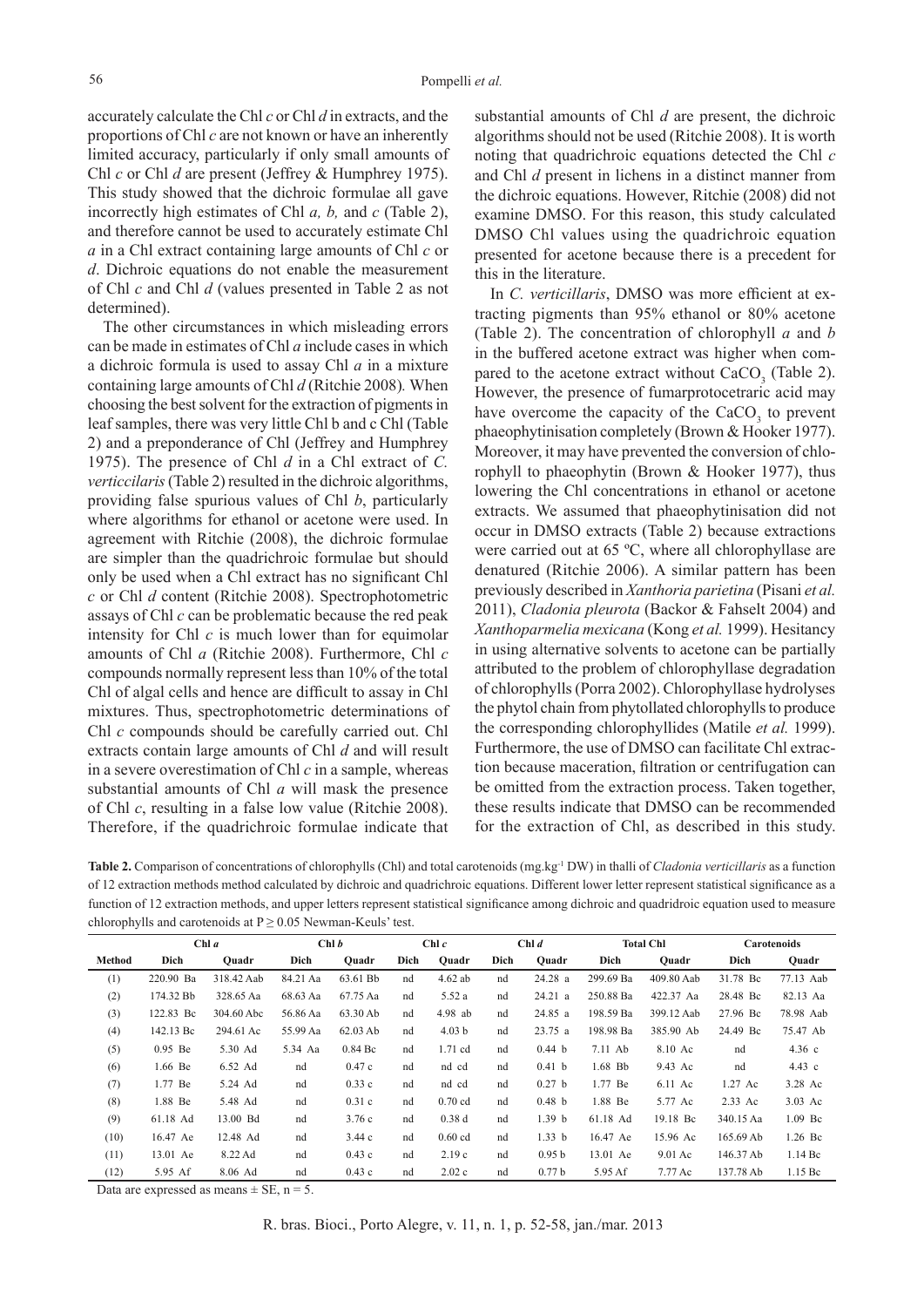accurately calculate the Chl *c* or Chl *d* in extracts, and the proportions of Chl *c* are not known or have an inherently limited accuracy, particularly if only small amounts of Chl *c* or Chl *d* are present (Jeffrey & Humphrey 1975). This study showed that the dichroic formulae all gave incorrectly high estimates of Chl *a, b,* and *c* (Table 2), and therefore cannot be used to accurately estimate Chl *a* in a Chl extract containing large amounts of Chl *c* or *d*. Dichroic equations do not enable the measurement of Chl *c* and Chl *d* (values presented in Table 2 as not determined).

The other circumstances in which misleading errors can be made in estimates of Chl *a* include cases in which a dichroic formula is used to assay Chl *a* in a mixture containing large amounts of Chl *d* (Ritchie 2008)*.* When choosing the best solvent for the extraction of pigments in leaf samples, there was very little Chl b and c Chl (Table 2) and a preponderance of Chl (Jeffrey and Humphrey 1975). The presence of Chl *d* in a Chl extract of *C. verticcilaris* (Table 2) resulted in the dichroic algorithms, providing false spurious values of Chl *b*, particularly where algorithms for ethanol or acetone were used. In agreement with Ritchie (2008), the dichroic formulae are simpler than the quadrichroic formulae but should only be used when a Chl extract has no significant Chl *c* or Chl *d* content (Ritchie 2008). Spectrophotometric assays of Chl *c* can be problematic because the red peak intensity for Chl *c* is much lower than for equimolar amounts of Chl *a* (Ritchie 2008). Furthermore, Chl *c*  compounds normally represent less than 10% of the total Chl of algal cells and hence are difficult to assay in Chl mixtures. Thus, spectrophotometric determinations of Chl *c* compounds should be carefully carried out. Chl extracts contain large amounts of Chl *d* and will result in a severe overestimation of Chl *c* in a sample, whereas substantial amounts of Chl *a* will mask the presence of Chl *c*, resulting in a false low value (Ritchie 2008). Therefore, if the quadrichroic formulae indicate that substantial amounts of Chl *d* are present, the dichroic algorithms should not be used (Ritchie 2008). It is worth noting that quadrichroic equations detected the Chl *c* and Chl *d* present in lichens in a distinct manner from the dichroic equations. However, Ritchie (2008) did not examine DMSO. For this reason, this study calculated DMSO Chl values using the quadrichroic equation presented for acetone because there is a precedent for this in the literature.

In *C. verticillaris*, DMSO was more efficient at extracting pigments than 95% ethanol or 80% acetone (Table 2). The concentration of chlorophyll *a* and *b* in the buffered acetone extract was higher when compared to the acetone extract without  $CaCO<sub>3</sub>$  (Table 2). However, the presence of fumarprotocetraric acid may have overcome the capacity of the  $CaCO<sub>3</sub>$  to prevent phaeophytinisation completely (Brown & Hooker 1977). Moreover, it may have prevented the conversion of chlorophyll to phaeophytin (Brown & Hooker 1977), thus lowering the Chl concentrations in ethanol or acetone extracts. We assumed that phaeophytinisation did not occur in DMSO extracts (Table 2) because extractions were carried out at 65 ºC, where all chlorophyllase are denatured (Ritchie 2006). A similar pattern has been previously described in *Xanthoria parietina* (Pisani *et al.* 2011), *Cladonia pleurota* (Backor & Fahselt 2004) and *Xanthoparmelia mexicana* (Kong *et al.* 1999). Hesitancy in using alternative solvents to acetone can be partially attributed to the problem of chlorophyllase degradation of chlorophylls (Porra 2002). Chlorophyllase hydrolyses the phytol chain from phytollated chlorophylls to produce the corresponding chlorophyllides (Matile *et al.* 1999). Furthermore, the use of DMSO can facilitate Chl extraction because maceration, filtration or centrifugation can be omitted from the extraction process. Taken together, these results indicate that DMSO can be recommended for the extraction of Chl, as described in this study.

**Table 2.** Comparison of concentrations of chlorophylls (Chl) and total carotenoids (mg.kg-1 DW) in thalli of *Cladonia verticillaris* as a function of 12 extraction methods method calculated by dichroic and quadrichroic equations. Different lower letter represent statistical significance as a function of 12 extraction methods, and upper letters represent statistical significance among dichroic and quadridroic equation used to measure chlorophylls and carotenoids at  $P > 0.05$  Newman-Keuls' test.

|        | Chl a     |            | Chl b    |                     | Chl c |                   | Chl d |                   | <b>Total Chl</b> |            | <b>Carotenoids</b> |                     |
|--------|-----------|------------|----------|---------------------|-------|-------------------|-------|-------------------|------------------|------------|--------------------|---------------------|
| Method | Dich      | Ouadr      | Dich     | Ouadr               | Dich  | Ouadr             | Dich  | Ouadr             | Dich             | Ouadr      | Dich               | Ouadr               |
| (1)    | 220.90 Ba | 318.42 Aab | 84.21 Aa | 63.61 Bb            | nd    | $4.62$ ab         | nd    | 24.28 a           | 299.69 Ba        | 409.80 Aab | 31.78 Bc           | 77.13 Aab           |
| (2)    | 174.32 Bb | 328.65 Aa  | 68.63 Aa | 67.75 Aa            | nd    | 5.52 a            | nd    | 24.21 a           | 250.88 Ba        | 422.37 Aa  | 28.48 Bc           | 82.13 Aa            |
| (3)    | 122.83 Bc | 304.60 Abc | 56.86 Aa | 63.30 Ab            | nd    | 4.98 ab           | nd    | 24.85 a           | 198.59 Ba        | 399.12 Aab | 27.96 Bc           | 78.98 Aab           |
| (4)    | 142.13 Bc | 294.61 Ac  | 55.99 Aa | $62.03$ Ab          | nd    | 4.03 <sub>b</sub> | nd    | 23.75 a           | 198.98 Ba        | 385.90 Ab  | 24.49 Bc           | 75.47 Ab            |
| (5)    | $0.95$ Be | 5.30 Ad    | 5.34 Aa  | $0.84\,\mathrm{Bc}$ | nd    | 1.71 cd           | nd    | 0.44 <sub>b</sub> | 7.11 Ab          | 8.10 Ac    | nd                 | 4.36 c              |
| (6)    | 1.66 Be   | 6.52 Ad    | nd       | 0.47c               | nd    | nd cd             | nd    | 0.41 <sub>b</sub> | 1.68 Bb          | 9.43 Ac    | nd                 | 4.43 c              |
| (7)    | 1.77 Be   | 5.24 Ad    | nd       | 0.33c               | nd    | nd cd             | nd    | 0.27 <sub>b</sub> | 1.77 Be          | 6.11 Ac    | $1.27$ Ac          | 3.28 Ac             |
| (8)    | 1.88 Be   | 5.48 Ad    | nd       | 0.31c               | nd    | $0.70$ cd         | nd    | 0.48 <sub>b</sub> | 1.88 Be          | 5.77 Ac    | 2.33 Ac            | $3.03$ Ac           |
| (9)    | 61.18 Ad  | 13.00 Bd   | nd       | 3.76c               | nd    | 0.38d             | nd    | 1.39 <sub>b</sub> | 61.18 Ad         | 19.18 Bc   | 340.15 Aa          | 1.09 Bc             |
| (10)   | 16.47 Ae  | 12.48 Ad   | nd       | 3.44c               | nd    | $0.60$ cd         | nd    | 1.33 <sub>b</sub> | 16.47 Ae         | 15.96 Ac   | 165.69 Ab          | 1.26 Bc             |
| (11)   | 13.01 Ae  | 8.22 Ad    | nd       | 0.43c               | nd    | 2.19c             | nd    | 0.95 <sub>b</sub> | 13.01 Ae         | 9.01 Ac    | 146.37 Ab          | $1.14\,\mathrm{Bc}$ |
| (12)   | 5.95 Af   | 8.06 Ad    | nd       | 0.43c               | nd    | 2.02c             | nd    | 0.77 <sub>b</sub> | 5.95 Af          | 7.77 Ac    | 137.78 Ab          | $1.15\,\mathrm{Bc}$ |

Data are expressed as means  $\pm$  SE, n = 5.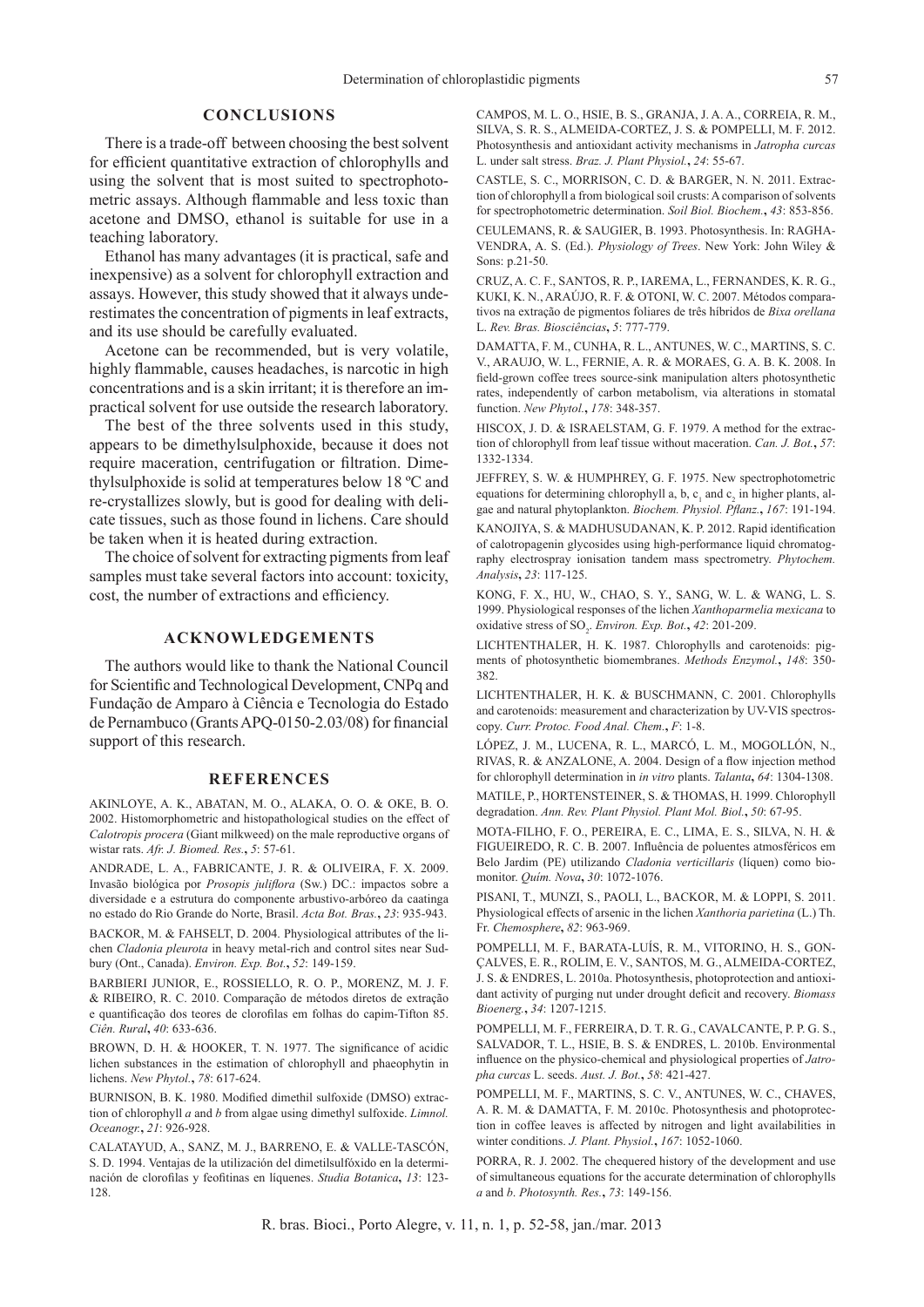# **CONCLUSIONS**

There is a trade-off between choosing the best solvent for efficient quantitative extraction of chlorophylls and using the solvent that is most suited to spectrophotometric assays. Although flammable and less toxic than acetone and DMSO, ethanol is suitable for use in a teaching laboratory.

Ethanol has many advantages (it is practical, safe and inexpensive) as a solvent for chlorophyll extraction and assays. However, this study showed that it always underestimates the concentration of pigments in leaf extracts, and its use should be carefully evaluated.

Acetone can be recommended, but is very volatile, highly flammable, causes headaches, is narcotic in high concentrations and is a skin irritant; it is therefore an impractical solvent for use outside the research laboratory.

The best of the three solvents used in this study, appears to be dimethylsulphoxide, because it does not require maceration, centrifugation or filtration. Dimethylsulphoxide is solid at temperatures below 18 ºC and re-crystallizes slowly, but is good for dealing with delicate tissues, such as those found in lichens. Care should be taken when it is heated during extraction.

The choice of solvent for extracting pigments from leaf samples must take several factors into account: toxicity, cost, the number of extractions and efficiency.

# **ACKNOWLEDGEMENTS**

The authors would like to thank the National Council for Scientific and Technological Development, CNPq and Fundação de Amparo à Ciência e Tecnologia do Estado de Pernambuco (Grants APQ-0150-2.03/08) for financial support of this research.

#### **REFERENCES**

AKINLOYE, A. K., ABATAN, M. O., ALAKA, O. O. & OKE, B. O. 2002. Histomorphometric and histopathological studies on the effect of *Calotropis procera* (Giant milkweed) on the male reproductive organs of wistar rats. *Afr. J. Biomed. Res.***,** *5*: 57-61.

ANDRADE, L. A., FABRICANTE, J. R. & OLIVEIRA, F. X. 2009. Invasão biológica por *Prosopis juliflora* (Sw.) DC.: impactos sobre a diversidade e a estrutura do componente arbustivo-arbóreo da caatinga no estado do Rio Grande do Norte, Brasil. *Acta Bot. Bras.***,** *23*: 935-943.

BACKOR, M. & FAHSELT, D. 2004. Physiological attributes of the lichen *Cladonia pleurota* in heavy metal-rich and control sites near Sudbury (Ont., Canada). *Environ. Exp. Bot.***,** *52*: 149-159.

BARBIERI JUNIOR, E., ROSSIELLO, R. O. P., MORENZ, M. J. F. & RIBEIRO, R. C. 2010. Comparação de métodos diretos de extração e quantificação dos teores de clorofilas em folhas do capim-Tifton 85. *Ciên. Rural***,** *40*: 633-636.

BROWN, D. H. & HOOKER, T. N. 1977. The significance of acidic lichen substances in the estimation of chlorophyll and phaeophytin in lichens. *New Phytol.***,** *78*: 617-624.

BURNISON, B. K. 1980. Modified dimethil sulfoxide (DMSO) extraction of chlorophyll *a* and *b* from algae using dimethyl sulfoxide. *Limnol. Oceanogr.***,** *21*: 926-928.

CALATAYUD, A., SANZ, M. J., BARRENO, E. & VALLE-TASCÓN, S. D. 1994. Ventajas de la utilización del dimetilsulfóxido en la determinación de clorofilas y feofitinas en líquenes. *Studia Botanica***,** *13*: 123- 128.

CAMPOS, M. L. O., HSIE, B. S., GRANJA, J. A. A., CORREIA, R. M., SILVA, S. R. S., ALMEIDA-CORTEZ, J. S. & POMPELLI, M. F. 2012. Photosynthesis and antioxidant activity mechanisms in *Jatropha curcas* L. under salt stress. *Braz. J. Plant Physiol.***,** *24*: 55-67.

CASTLE, S. C., MORRISON, C. D. & BARGER, N. N. 2011. Extraction of chlorophyll a from biological soil crusts: A comparison of solvents for spectrophotometric determination. *Soil Biol. Biochem.***,** *43*: 853-856.

CEULEMANS, R. & SAUGIER, B. 1993. Photosynthesis. In: RAGHA-VENDRA, A. S. (Ed.). *Physiology of Trees*. New York: John Wiley & Sons: p.21-50.

CRUZ, A. C. F., SANTOS, R. P., IAREMA, L., FERNANDES, K. R. G., KUKI, K. N., ARAÚJO, R. F. & OTONI, W. C. 2007. Métodos comparativos na extração de pigmentos foliares de três híbridos de *Bixa orellana*  L. *Rev. Bras. Biosciências***,** *5*: 777-779.

DAMATTA, F. M., CUNHA, R. L., ANTUNES, W. C., MARTINS, S. C. V., ARAUJO, W. L., FERNIE, A. R. & MORAES, G. A. B. K. 2008. In field-grown coffee trees source-sink manipulation alters photosynthetic rates, independently of carbon metabolism, via alterations in stomatal function. *New Phytol.***,** *178*: 348-357.

HISCOX, J. D. & ISRAELSTAM, G. F. 1979. A method for the extraction of chlorophyll from leaf tissue without maceration. *Can. J. Bot.***,** *57*: 1332-1334.

JEFFREY, S. W. & HUMPHREY, G. F. 1975. New spectrophotometric equations for determining chlorophyll a, b,  $c_1$  and  $c_2$  in higher plants, algae and natural phytoplankton. *Biochem. Physiol. Pflanz.***,** *167*: 191-194.

KANOJIYA, S. & MADHUSUDANAN, K. P. 2012. Rapid identification of calotropagenin glycosides using high-performance liquid chromatography electrospray ionisation tandem mass spectrometry. *Phytochem. Analysis***,** *23*: 117-125.

KONG, F. X., HU, W., CHAO, S. Y., SANG, W. L. & WANG, L. S. 1999. Physiological responses of the lichen *Xanthoparmelia mexicana* to oxidative stress of SO<sub>2</sub>. *Environ. Exp. Bot.*, 42: 201-209.

LICHTENTHALER, H. K. 1987. Chlorophylls and carotenoids: pigments of photosynthetic biomembranes. *Methods Enzymol.***,** *148*: 350- 382.

LICHTENTHALER, H. K. & BUSCHMANN, C. 2001. Chlorophylls and carotenoids: measurement and characterization by UV-VIS spectroscopy. *Curr. Protoc. Food Anal. Chem.***,** *F*: 1-8.

LÓPEZ, J. M., LUCENA, R. L., MARCÓ, L. M., MOGOLLÓN, N., RIVAS, R. & ANZALONE, A. 2004. Design of a flow injection method for chlorophyll determination in *in vitro* plants. *Talanta***,** *64*: 1304-1308.

MATILE, P., HORTENSTEINER, S. & THOMAS, H. 1999. Chlorophyll degradation. *Ann. Rev. Plant Physiol. Plant Mol. Biol.***,** *50*: 67-95.

MOTA-FILHO, F. O., PEREIRA, E. C., LIMA, E. S., SILVA, N. H. & FIGUEIREDO, R. C. B. 2007. Influência de poluentes atmosféricos em Belo Jardim (PE) utilizando *Cladonia verticillaris* (líquen) como biomonitor. *Quím. Nova***,** *30*: 1072-1076.

PISANI, T., MUNZI, S., PAOLI, L., BACKOR, M. & LOPPI, S. 2011. Physiological effects of arsenic in the lichen *Xanthoria parietina* (L.) Th. Fr. *Chemosphere***,** *82*: 963-969.

POMPELLI, M. F., BARATA-LUÍS, R. M., VITORINO, H. S., GON-ÇALVES, E. R., ROLIM, E. V., SANTOS, M. G., ALMEIDA-CORTEZ, J. S. & ENDRES, L. 2010a. Photosynthesis, photoprotection and antioxidant activity of purging nut under drought deficit and recovery. *Biomass Bioenerg.***,** *34*: 1207-1215.

POMPELLI, M. F., FERREIRA, D. T. R. G., CAVALCANTE, P. P. G. S., SALVADOR, T. L., HSIE, B. S. & ENDRES, L. 2010b. Environmental influence on the physico-chemical and physiological properties of *Jatropha curcas* L. seeds. *Aust. J. Bot.***,** *58*: 421-427.

POMPELLI, M. F., MARTINS, S. C. V., ANTUNES, W. C., CHAVES, A. R. M. & DAMATTA, F. M. 2010c. Photosynthesis and photoprotection in coffee leaves is affected by nitrogen and light availabilities in winter conditions. *J. Plant. Physiol.***,** *167*: 1052-1060.

PORRA, R. J. 2002. The chequered history of the development and use of simultaneous equations for the accurate determination of chlorophylls *a* and *b*. *Photosynth. Res.***,** *73*: 149-156.

R. bras. Bioci., Porto Alegre, v. 11, n. 1, p. 52-58, jan./mar. 2013